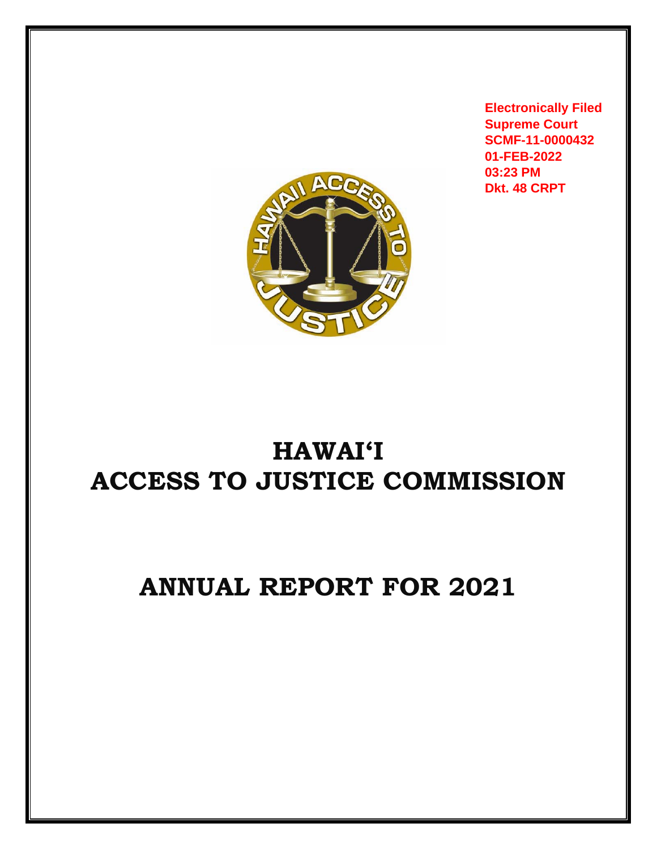

**Electronically Filed Supreme Court SCMF-11-0000432 01-FEB-2022 03:23 PM Dkt. 48 CRPT**

## **HAWAI'I ACCESS TO JUSTICE COMMISSION**

# **ANNUAL REPORT FOR 2021**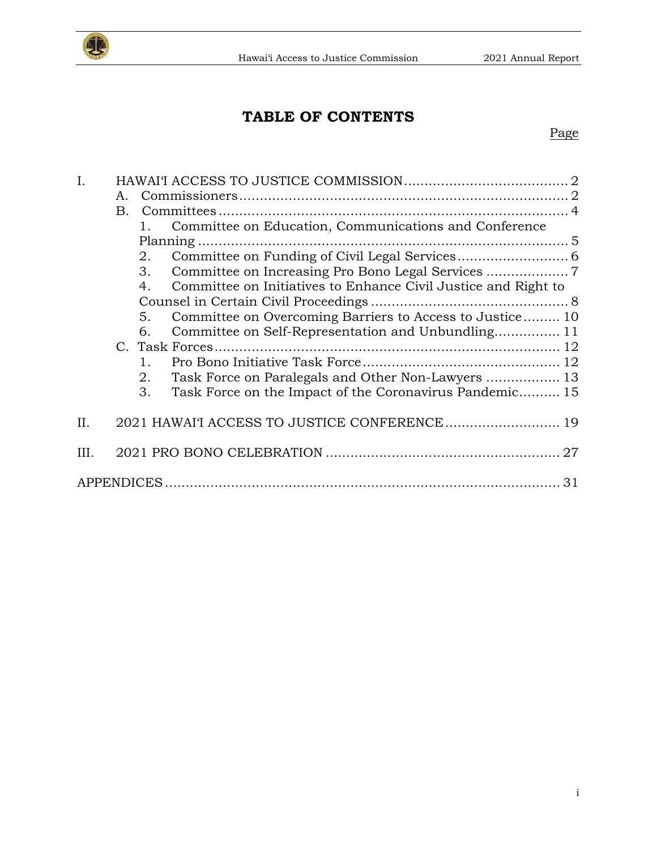

## **TABLE OF CONTENTS**

#### **Page Page**

| I. |    |    |                                                                |  |  |
|----|----|----|----------------------------------------------------------------|--|--|
|    | Α. |    |                                                                |  |  |
|    | В. |    |                                                                |  |  |
|    |    |    | Committee on Education, Communications and Conference          |  |  |
|    |    |    |                                                                |  |  |
|    |    | 2. |                                                                |  |  |
|    |    | 3. |                                                                |  |  |
|    |    | 4. | Committee on Initiatives to Enhance Civil Justice and Right to |  |  |
|    |    |    |                                                                |  |  |
|    |    | 5. | Committee on Overcoming Barriers to Access to Justice10        |  |  |
|    |    | 6. | Committee on Self-Representation and Unbundling 11             |  |  |
|    |    |    |                                                                |  |  |
|    |    | 1. |                                                                |  |  |
|    |    | 2. | Task Force on Paralegals and Other Non-Lawyers  13             |  |  |
|    |    | 3. | Task Force on the Impact of the Coronavirus Pandemic 15        |  |  |
| Н. |    |    | 2021 HAWAIT ACCESS TO JUSTICE CONFERENCE 19                    |  |  |
| Ш. |    |    |                                                                |  |  |
|    |    |    |                                                                |  |  |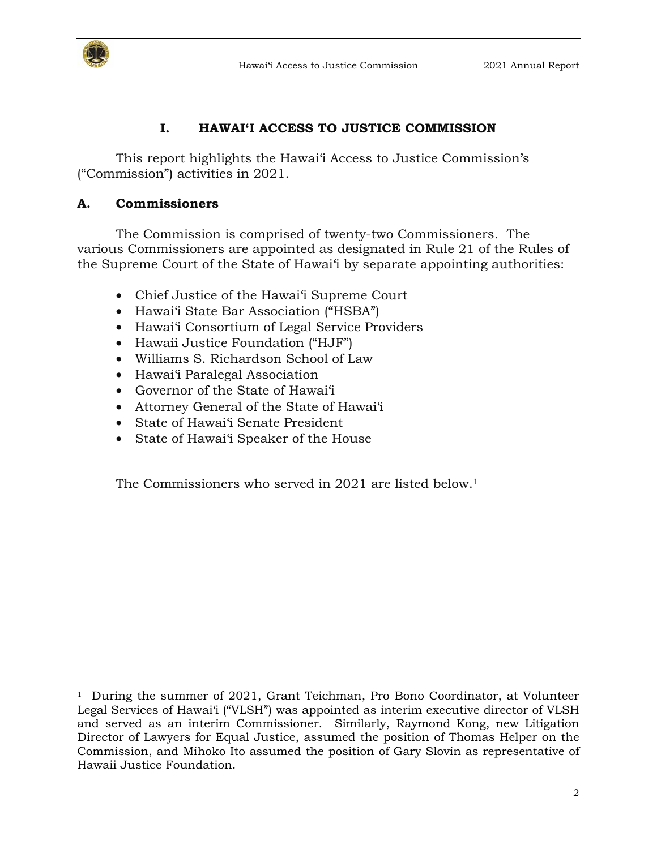

## **I. HAWAI'I ACCESS TO JUSTICE COMMISSION**

 This report highlights the Hawai'i Access to Justice Commission's ("Commission") activities in 2021.

### **A. Commissioners**

 The Commission is comprised of twenty-two Commissioners. The various Commissioners are appointed as designated in Rule 21 of the Rules of the Supreme Court of the State of Hawai'i by separate appointing authorities:

- Chief Justice of the Hawai'i Supreme Court
- Hawai'i State Bar Association ("HSBA")
- Hawai'i Consortium of Legal Service Providers
- Hawaii Justice Foundation ("HJF")
- Williams S. Richardson School of Law
- Hawai'i Paralegal Association
- Governor of the State of Hawai'i
- Attorney General of the State of Hawai'i
- State of Hawai'i Senate President
- State of Hawai'i Speaker of the House

The Commissioners who served in 2021 are listed below.<sup>1</sup>

<sup>&</sup>lt;sup>1</sup> During the summer of 2021, Grant Teichman, Pro Bono Coordinator, at Volunteer Legal Services of Hawai'i ("VLSH") was appointed as interim executive director of VLSH and served as an interim Commissioner. Similarly, Raymond Kong, new Litigation Director of Lawyers for Equal Justice, assumed the position of Thomas Helper on the Commission, and Mihoko Ito assumed the position of Gary Slovin as representative of Hawaii Justice Foundation.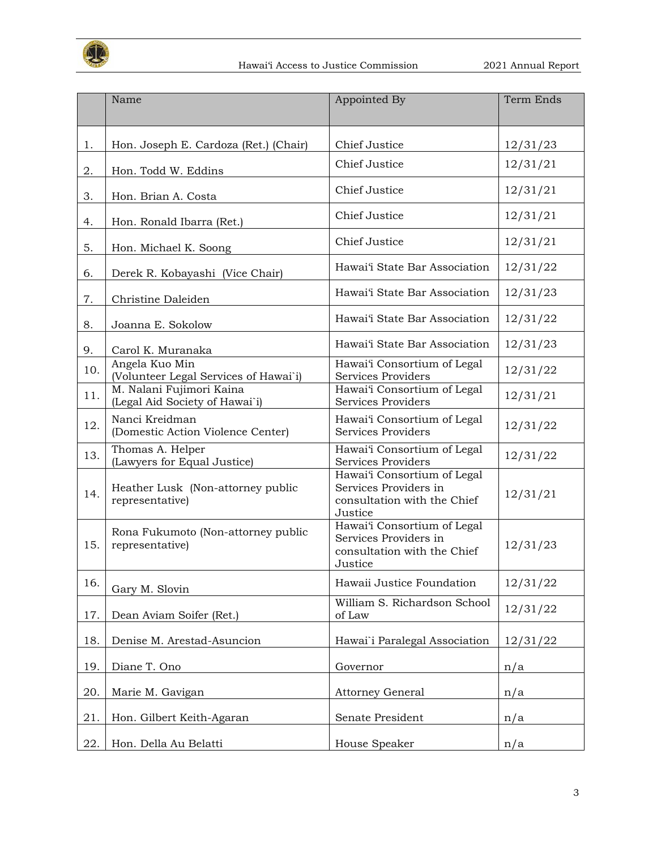

|     | Name                                                       | Appointed By                                                                                   | Term Ends |
|-----|------------------------------------------------------------|------------------------------------------------------------------------------------------------|-----------|
|     |                                                            |                                                                                                |           |
| 1.  | Hon. Joseph E. Cardoza (Ret.) (Chair)                      | Chief Justice                                                                                  | 12/31/23  |
| 2.  | Hon. Todd W. Eddins                                        | Chief Justice                                                                                  | 12/31/21  |
| 3.  | Hon. Brian A. Costa                                        | Chief Justice                                                                                  | 12/31/21  |
| 4.  | Hon. Ronald Ibarra (Ret.)                                  | Chief Justice                                                                                  | 12/31/21  |
| 5.  | Hon. Michael K. Soong                                      | Chief Justice                                                                                  | 12/31/21  |
| 6.  | Derek R. Kobayashi (Vice Chair)                            | Hawai'i State Bar Association                                                                  | 12/31/22  |
| 7.  | Christine Daleiden                                         | Hawai'i State Bar Association                                                                  | 12/31/23  |
| 8.  | Joanna E. Sokolow                                          | Hawai'i State Bar Association                                                                  | 12/31/22  |
| 9.  | Carol K. Muranaka                                          | Hawai'i State Bar Association                                                                  | 12/31/23  |
| 10. | Angela Kuo Min<br>(Volunteer Legal Services of Hawai'i)    | Hawai'i Consortium of Legal<br><b>Services Providers</b>                                       | 12/31/22  |
| 11. | M. Nalani Fujimori Kaina<br>(Legal Aid Society of Hawai'i) | Hawai'i Consortium of Legal<br><b>Services Providers</b>                                       | 12/31/21  |
| 12. | Nanci Kreidman<br>(Domestic Action Violence Center)        | Hawai'i Consortium of Legal<br><b>Services Providers</b>                                       | 12/31/22  |
| 13. | Thomas A. Helper<br>(Lawyers for Equal Justice)            | Hawai'i Consortium of Legal<br><b>Services Providers</b>                                       | 12/31/22  |
| 14. | Heather Lusk (Non-attorney public<br>representative)       | Hawai'i Consortium of Legal<br>Services Providers in<br>consultation with the Chief<br>Justice | 12/31/21  |
| 15. | Rona Fukumoto (Non-attorney public<br>representative)      | Hawai'i Consortium of Legal<br>Services Providers in<br>consultation with the Chief<br>Justice | 12/31/23  |
| 16. | Gary M. Slovin                                             | Hawaii Justice Foundation                                                                      | 12/31/22  |
| 17. | Dean Aviam Soifer (Ret.)                                   | William S. Richardson School<br>of Law                                                         | 12/31/22  |
| 18. | Denise M. Arestad-Asuncion                                 | Hawai'i Paralegal Association                                                                  | 12/31/22  |
| 19. | Diane T. Ono                                               | Governor                                                                                       | n/a       |
| 20. | Marie M. Gavigan                                           | <b>Attorney General</b>                                                                        | n/a       |
| 21. | Hon. Gilbert Keith-Agaran                                  | Senate President                                                                               | n/a       |
| 22. | Hon. Della Au Belatti                                      | House Speaker                                                                                  | n/a       |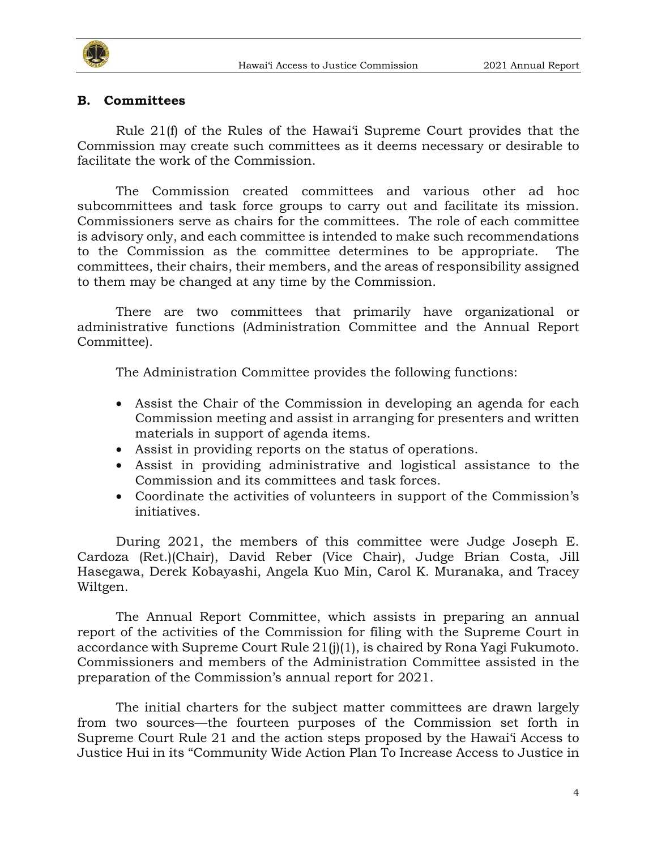

#### **B. Committees**

 Rule 21(f) of the Rules of the Hawai'i Supreme Court provides that the Commission may create such committees as it deems necessary or desirable to facilitate the work of the Commission.

 The Commission created committees and various other ad hoc subcommittees and task force groups to carry out and facilitate its mission. Commissioners serve as chairs for the committees. The role of each committee is advisory only, and each committee is intended to make such recommendations to the Commission as the committee determines to be appropriate. The committees, their chairs, their members, and the areas of responsibility assigned to them may be changed at any time by the Commission.

 There are two committees that primarily have organizational or administrative functions (Administration Committee and the Annual Report Committee).

The Administration Committee provides the following functions:

- Assist the Chair of the Commission in developing an agenda for each Commission meeting and assist in arranging for presenters and written materials in support of agenda items.
- Assist in providing reports on the status of operations.
- Assist in providing administrative and logistical assistance to the Commission and its committees and task forces.
- Coordinate the activities of volunteers in support of the Commission's initiatives.

 During 2021, the members of this committee were Judge Joseph E. Cardoza (Ret.)(Chair), David Reber (Vice Chair), Judge Brian Costa, Jill Hasegawa, Derek Kobayashi, Angela Kuo Min, Carol K. Muranaka, and Tracey Wiltgen.

 The Annual Report Committee, which assists in preparing an annual report of the activities of the Commission for filing with the Supreme Court in accordance with Supreme Court Rule 21(j)(1), is chaired by Rona Yagi Fukumoto. Commissioners and members of the Administration Committee assisted in the preparation of the Commission's annual report for 2021.

 The initial charters for the subject matter committees are drawn largely from two sources—the fourteen purposes of the Commission set forth in Supreme Court Rule 21 and the action steps proposed by the Hawai'i Access to Justice Hui in its "Community Wide Action Plan To Increase Access to Justice in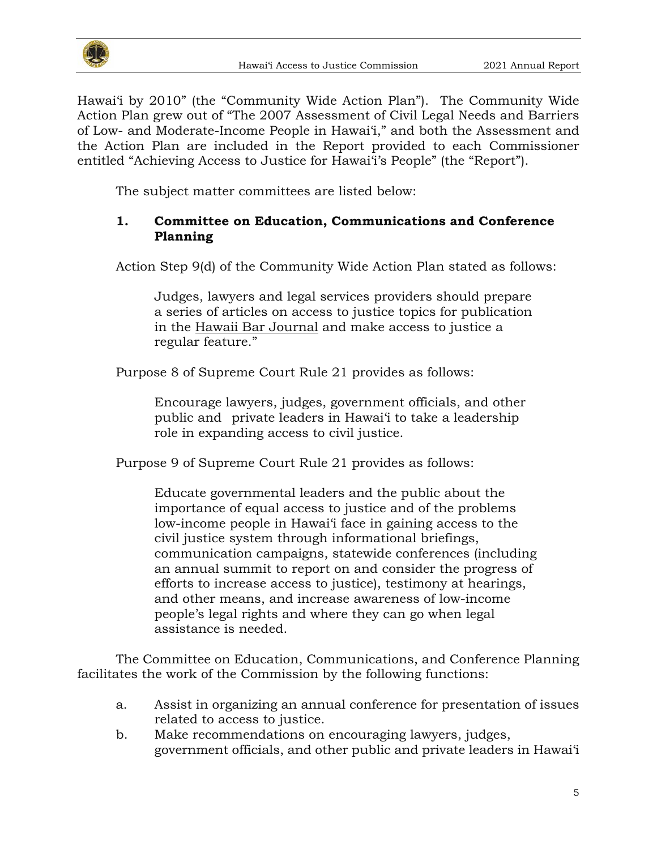

Hawai'i by 2010" (the "Community Wide Action Plan"). The Community Wide Action Plan grew out of "The 2007 Assessment of Civil Legal Needs and Barriers of Low- and Moderate-Income People in Hawai'i," and both the Assessment and the Action Plan are included in the Report provided to each Commissioner entitled "Achieving Access to Justice for Hawai'i's People" (the "Report").

The subject matter committees are listed below:

## **1. Committee on Education, Communications and Conference Planning**

Action Step 9(d) of the Community Wide Action Plan stated as follows:

 Judges, lawyers and legal services providers should prepare a series of articles on access to justice topics for publication in the Hawaii Bar Journal and make access to justice a regular feature."

Purpose 8 of Supreme Court Rule 21 provides as follows:

 Encourage lawyers, judges, government officials, and other public and private leaders in Hawai'i to take a leadership role in expanding access to civil justice.

Purpose 9 of Supreme Court Rule 21 provides as follows:

 Educate governmental leaders and the public about the importance of equal access to justice and of the problems low-income people in Hawai'i face in gaining access to the civil justice system through informational briefings, communication campaigns, statewide conferences (including an annual summit to report on and consider the progress of efforts to increase access to justice), testimony at hearings, and other means, and increase awareness of low-income people's legal rights and where they can go when legal assistance is needed.

 The Committee on Education, Communications, and Conference Planning facilitates the work of the Commission by the following functions:

- a. Assist in organizing an annual conference for presentation of issues related to access to justice.
- b. Make recommendations on encouraging lawyers, judges, government officials, and other public and private leaders in Hawai'i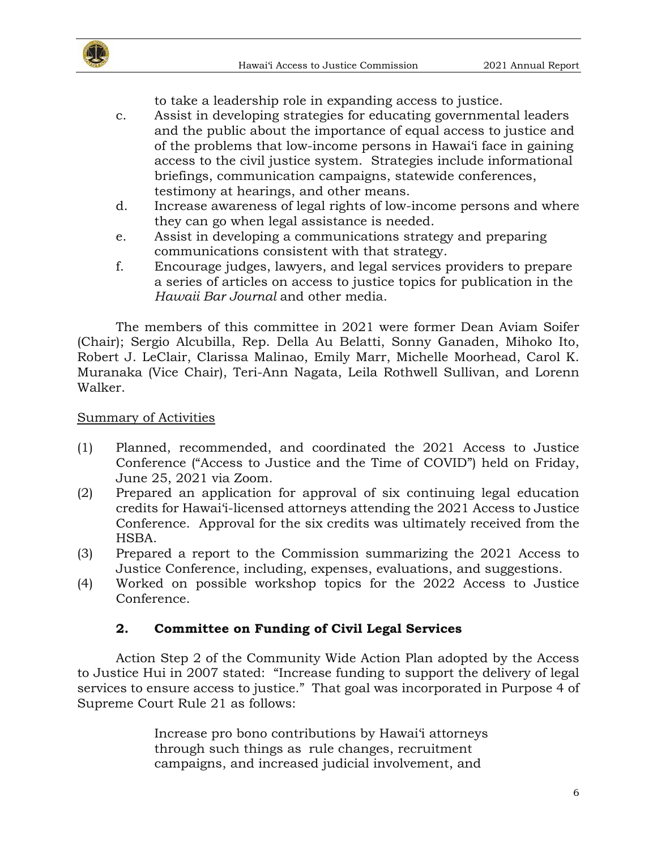

to take a leadership role in expanding access to justice.

- c. Assist in developing strategies for educating governmental leaders and the public about the importance of equal access to justice and of the problems that low-income persons in Hawai'i face in gaining access to the civil justice system. Strategies include informational briefings, communication campaigns, statewide conferences, testimony at hearings, and other means.
- d. Increase awareness of legal rights of low-income persons and where they can go when legal assistance is needed.
- e. Assist in developing a communications strategy and preparing communications consistent with that strategy.
- f. Encourage judges, lawyers, and legal services providers to prepare a series of articles on access to justice topics for publication in the *Hawaii Bar Journal* and other media.

 The members of this committee in 2021 were former Dean Aviam Soifer (Chair); Sergio Alcubilla, Rep. Della Au Belatti, Sonny Ganaden, Mihoko Ito, Robert J. LeClair, Clarissa Malinao, Emily Marr, Michelle Moorhead, Carol K. Muranaka (Vice Chair), Teri-Ann Nagata, Leila Rothwell Sullivan, and Lorenn Walker.

## Summary of Activities

- (1) Planned, recommended, and coordinated the 2021 Access to Justice Conference ("Access to Justice and the Time of COVID") held on Friday, June 25, 2021 via Zoom.
- (2) Prepared an application for approval of six continuing legal education credits for Hawai'i-licensed attorneys attending the 2021 Access to Justice Conference. Approval for the six credits was ultimately received from the HSBA.
- (3) Prepared a report to the Commission summarizing the 2021 Access to Justice Conference, including, expenses, evaluations, and suggestions.
- (4) Worked on possible workshop topics for the 2022 Access to Justice Conference.

## **2. Committee on Funding of Civil Legal Services**

 Action Step 2 of the Community Wide Action Plan adopted by the Access to Justice Hui in 2007 stated: "Increase funding to support the delivery of legal services to ensure access to justice." That goal was incorporated in Purpose 4 of Supreme Court Rule 21 as follows:

> Increase pro bono contributions by Hawai'i attorneys through such things as rule changes, recruitment campaigns, and increased judicial involvement, and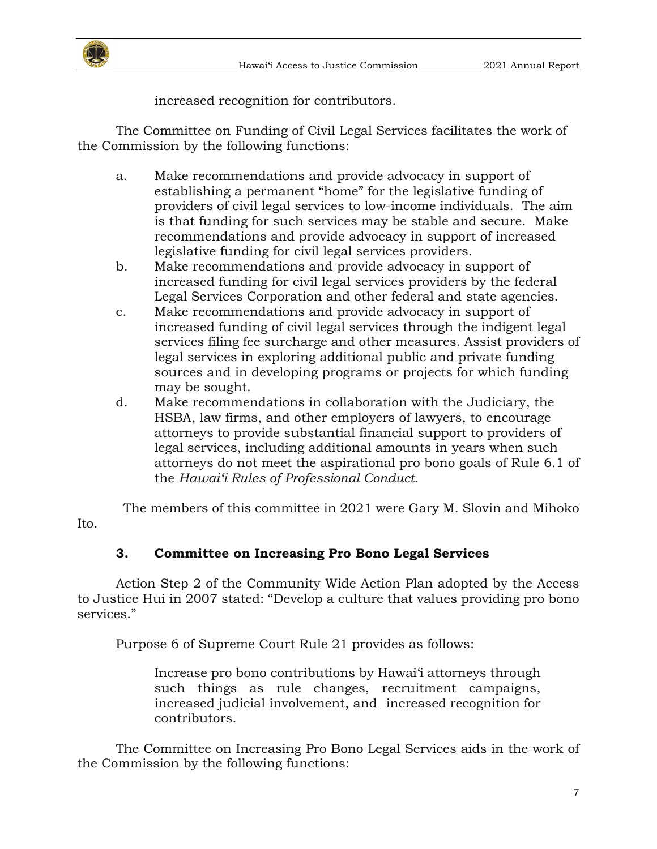

increased recognition for contributors.

 The Committee on Funding of Civil Legal Services facilitates the work of the Commission by the following functions:

- a. Make recommendations and provide advocacy in support of establishing a permanent "home" for the legislative funding of providers of civil legal services to low-income individuals. The aim is that funding for such services may be stable and secure. Make recommendations and provide advocacy in support of increased legislative funding for civil legal services providers.
- b. Make recommendations and provide advocacy in support of increased funding for civil legal services providers by the federal Legal Services Corporation and other federal and state agencies.
- c. Make recommendations and provide advocacy in support of increased funding of civil legal services through the indigent legal services filing fee surcharge and other measures. Assist providers of legal services in exploring additional public and private funding sources and in developing programs or projects for which funding may be sought.
- d. Make recommendations in collaboration with the Judiciary, the HSBA, law firms, and other employers of lawyers, to encourage attorneys to provide substantial financial support to providers of legal services, including additional amounts in years when such attorneys do not meet the aspirational pro bono goals of Rule 6.1 of the *Hawai'i Rules of Professional Conduct*.

 The members of this committee in 2021 were Gary M. Slovin and Mihoko Ito.

## **3. Committee on Increasing Pro Bono Legal Services**

 Action Step 2 of the Community Wide Action Plan adopted by the Access to Justice Hui in 2007 stated: "Develop a culture that values providing pro bono services."

Purpose 6 of Supreme Court Rule 21 provides as follows:

Increase pro bono contributions by Hawai'i attorneys through such things as rule changes, recruitment campaigns, increased judicial involvement, and increased recognition for contributors.

 The Committee on Increasing Pro Bono Legal Services aids in the work of the Commission by the following functions: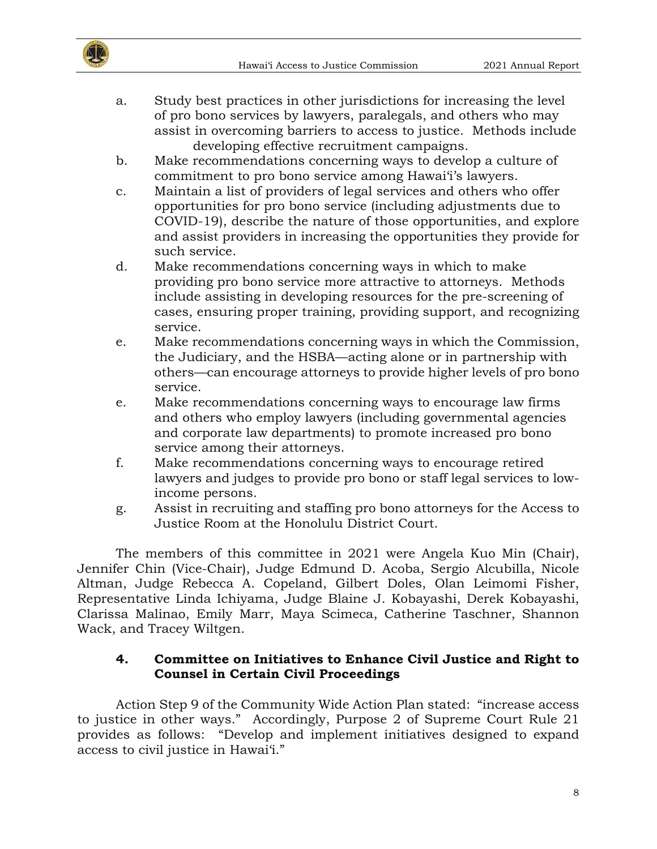

- a. Study best practices in other jurisdictions for increasing the level of pro bono services by lawyers, paralegals, and others who may assist in overcoming barriers to access to justice. Methods include developing effective recruitment campaigns.
- b. Make recommendations concerning ways to develop a culture of commitment to pro bono service among Hawai'i's lawyers.
- c. Maintain a list of providers of legal services and others who offer opportunities for pro bono service (including adjustments due to COVID-19), describe the nature of those opportunities, and explore and assist providers in increasing the opportunities they provide for such service.
- d. Make recommendations concerning ways in which to make providing pro bono service more attractive to attorneys. Methods include assisting in developing resources for the pre-screening of cases, ensuring proper training, providing support, and recognizing service.
- e. Make recommendations concerning ways in which the Commission, the Judiciary, and the HSBA––acting alone or in partnership with others––can encourage attorneys to provide higher levels of pro bono service.
- e. Make recommendations concerning ways to encourage law firms and others who employ lawyers (including governmental agencies and corporate law departments) to promote increased pro bono service among their attorneys.
- f. Make recommendations concerning ways to encourage retired lawyers and judges to provide pro bono or staff legal services to low income persons.
- g. Assist in recruiting and staffing pro bono attorneys for the Access to Justice Room at the Honolulu District Court.

 The members of this committee in 2021 were Angela Kuo Min (Chair), Jennifer Chin (Vice-Chair), Judge Edmund D. Acoba, Sergio Alcubilla, Nicole Altman, Judge Rebecca A. Copeland, Gilbert Doles, Olan Leimomi Fisher, Representative Linda Ichiyama, Judge Blaine J. Kobayashi, Derek Kobayashi, Clarissa Malinao, Emily Marr, Maya Scimeca, Catherine Taschner, Shannon Wack, and Tracey Wiltgen.

## **4. Committee on Initiatives to Enhance Civil Justice and Right to Counsel in Certain Civil Proceedings**

 Action Step 9 of the Community Wide Action Plan stated: "increase access to justice in other ways." Accordingly, Purpose 2 of Supreme Court Rule 21 provides as follows: "Develop and implement initiatives designed to expand access to civil justice in Hawai'i."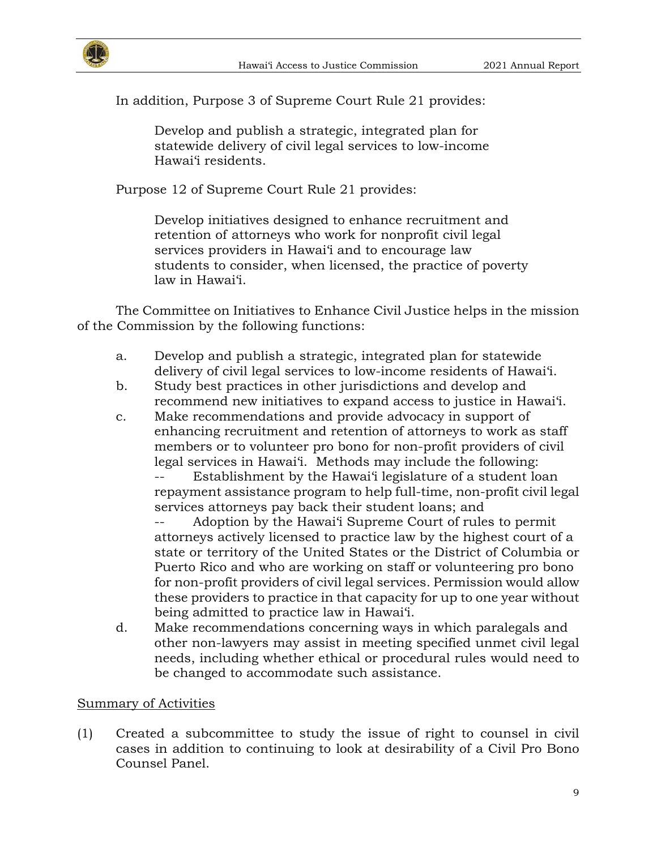

In addition, Purpose 3 of Supreme Court Rule 21 provides:

 Develop and publish a strategic, integrated plan for statewide delivery of civil legal services to low-income Hawai'i residents.

Purpose 12 of Supreme Court Rule 21 provides:

 Develop initiatives designed to enhance recruitment and retention of attorneys who work for nonprofit civil legal services providers in Hawai'i and to encourage law students to consider, when licensed, the practice of poverty law in Hawai'i.

 The Committee on Initiatives to Enhance Civil Justice helps in the mission of the Commission by the following functions:

- a. Develop and publish a strategic, integrated plan for statewide delivery of civil legal services to low-income residents of Hawai'i.
- b. Study best practices in other jurisdictions and develop and recommend new initiatives to expand access to justice in Hawai'i.
- c. Make recommendations and provide advocacy in support of enhancing recruitment and retention of attorneys to work as staff members or to volunteer pro bono for non-profit providers of civil legal services in Hawai'i. Methods may include the following: Establishment by the Hawai'i legislature of a student loan repayment assistance program to help full-time, non-profit civil legal services attorneys pay back their student loans; and

 -- Adoption by the Hawai'i Supreme Court of rules to permit attorneys actively licensed to practice law by the highest court of a state or territory of the United States or the District of Columbia or Puerto Rico and who are working on staff or volunteering pro bono for non-profit providers of civil legal services. Permission would allow these providers to practice in that capacity for up to one year without being admitted to practice law in Hawai'i.

 d. Make recommendations concerning ways in which paralegals and other non-lawyers may assist in meeting specified unmet civil legal needs, including whether ethical or procedural rules would need to be changed to accommodate such assistance.

## Summary of Activities

(1) Created a subcommittee to study the issue of right to counsel in civil cases in addition to continuing to look at desirability of a Civil Pro Bono Counsel Panel.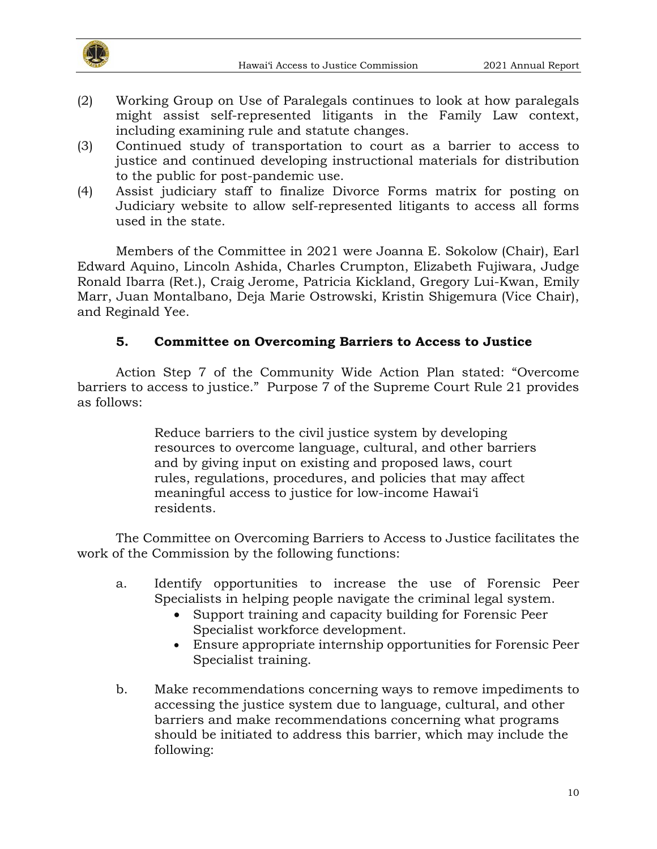

- (2) Working Group on Use of Paralegals continues to look at how paralegals might assist self-represented litigants in the Family Law context, including examining rule and statute changes.
- (3) Continued study of transportation to court as a barrier to access to justice and continued developing instructional materials for distribution to the public for post-pandemic use.
- (4) Assist judiciary staff to finalize Divorce Forms matrix for posting on Judiciary website to allow self-represented litigants to access all forms used in the state.

 Members of the Committee in 2021 were Joanna E. Sokolow (Chair), Earl Edward Aquino, Lincoln Ashida, Charles Crumpton, Elizabeth Fujiwara, Judge Ronald Ibarra (Ret.), Craig Jerome, Patricia Kickland, Gregory Lui-Kwan, Emily Marr, Juan Montalbano, Deja Marie Ostrowski, Kristin Shigemura (Vice Chair), and Reginald Yee.

## **5. Committee on Overcoming Barriers to Access to Justice**

 Action Step 7 of the Community Wide Action Plan stated: "Overcome barriers to access to justice." Purpose 7 of the Supreme Court Rule 21 provides as follows:

> Reduce barriers to the civil justice system by developing resources to overcome language, cultural, and other barriers and by giving input on existing and proposed laws, court rules, regulations, procedures, and policies that may affect meaningful access to justice for low-income Hawai'i residents.

 The Committee on Overcoming Barriers to Access to Justice facilitates the work of the Commission by the following functions:

- a. Identify opportunities to increase the use of Forensic Peer Specialists in helping people navigate the criminal legal system.
	- Support training and capacity building for Forensic Peer Specialist workforce development.
	- Ensure appropriate internship opportunities for Forensic Peer Specialist training.
- b. Make recommendations concerning ways to remove impediments to accessing the justice system due to language, cultural, and other barriers and make recommendations concerning what programs should be initiated to address this barrier, which may include the following: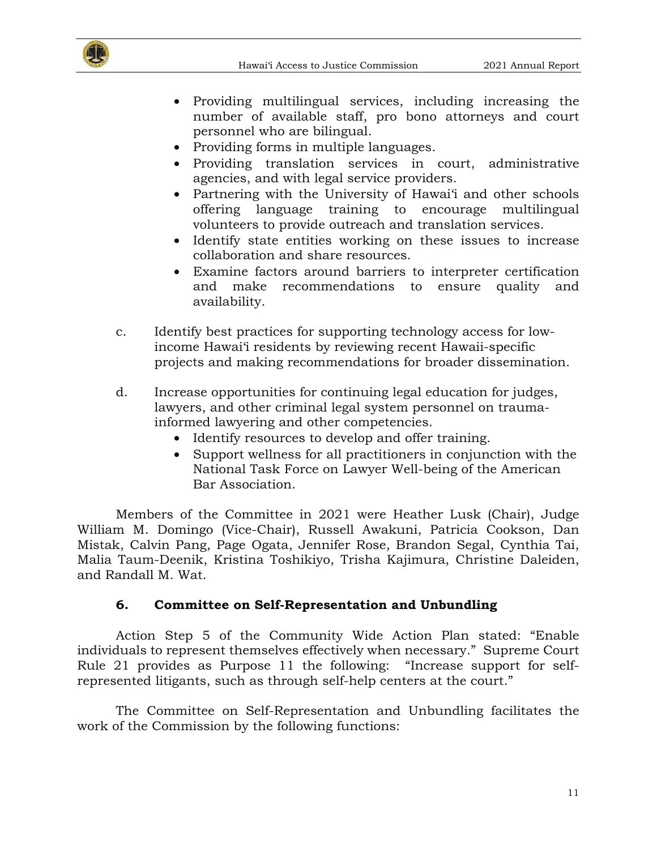

- Providing multilingual services, including increasing the number of available staff, pro bono attorneys and court personnel who are bilingual.
- Providing forms in multiple languages.
- Providing translation services in court, administrative agencies, and with legal service providers.
- Partnering with the University of Hawai'i and other schools offering language training to encourage multilingual volunteers to provide outreach and translation services.
- Identify state entities working on these issues to increase collaboration and share resources.
- Examine factors around barriers to interpreter certification and make recommendations to ensure quality and availability.
- c. Identify best practices for supporting technology access for low income Hawai'i residents by reviewing recent Hawaii-specific projects and making recommendations for broader dissemination.
- d. Increase opportunities for continuing legal education for judges, lawyers, and other criminal legal system personnel on trauma informed lawyering and other competencies.
	- Identify resources to develop and offer training.
	- Support wellness for all practitioners in conjunction with the National Task Force on Lawyer Well-being of the American Bar Association.

 Members of the Committee in 2021 were Heather Lusk (Chair), Judge William M. Domingo (Vice-Chair), Russell Awakuni, Patricia Cookson, Dan Mistak, Calvin Pang, Page Ogata, Jennifer Rose, Brandon Segal, Cynthia Tai, Malia Taum-Deenik, Kristina Toshikiyo, Trisha Kajimura, Christine Daleiden, and Randall M. Wat.

## **6. Committee on Self-Representation and Unbundling**

 Action Step 5 of the Community Wide Action Plan stated: "Enable individuals to represent themselves effectively when necessary." Supreme Court Rule 21 provides as Purpose 11 the following: "Increase support for selfrepresented litigants, such as through self-help centers at the court."

 The Committee on Self-Representation and Unbundling facilitates the work of the Commission by the following functions: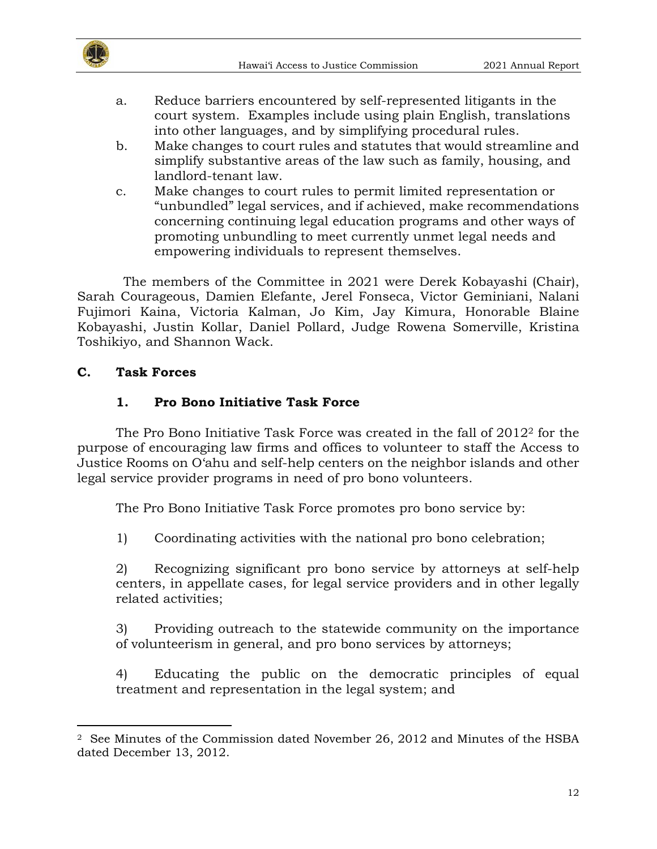

- a. Reduce barriers encountered by self-represented litigants in the court system. Examples include using plain English, translations into other languages, and by simplifying procedural rules.
- b. Make changes to court rules and statutes that would streamline and simplify substantive areas of the law such as family, housing, and landlord-tenant law.
- c. Make changes to court rules to permit limited representation or "unbundled" legal services, and if achieved, make recommendations concerning continuing legal education programs and other ways of promoting unbundling to meet currently unmet legal needs and empowering individuals to represent themselves.

 The members of the Committee in 2021 were Derek Kobayashi (Chair), Sarah Courageous, Damien Elefante, Jerel Fonseca, Victor Geminiani, Nalani Fujimori Kaina, Victoria Kalman, Jo Kim, Jay Kimura, Honorable Blaine Kobayashi, Justin Kollar, Daniel Pollard, Judge Rowena Somerville, Kristina Toshikiyo, and Shannon Wack.

## **C. Task Forces**

## **1. Pro Bono Initiative Task Force**

 The Pro Bono Initiative Task Force was created in the fall of 20122 for the purpose of encouraging law firms and offices to volunteer to staff the Access to Justice Rooms on O'ahu and self-help centers on the neighbor islands and other legal service provider programs in need of pro bono volunteers.

The Pro Bono Initiative Task Force promotes pro bono service by:

1) Coordinating activities with the national pro bono celebration;

 2) Recognizing significant pro bono service by attorneys at self-help centers, in appellate cases, for legal service providers and in other legally related activities;

 3) Providing outreach to the statewide community on the importance of volunteerism in general, and pro bono services by attorneys;

 4) Educating the public on the democratic principles of equal treatment and representation in the legal system; and

<sup>2</sup> See Minutes of the Commission dated November 26, 2012 and Minutes of the HSBA dated December 13, 2012.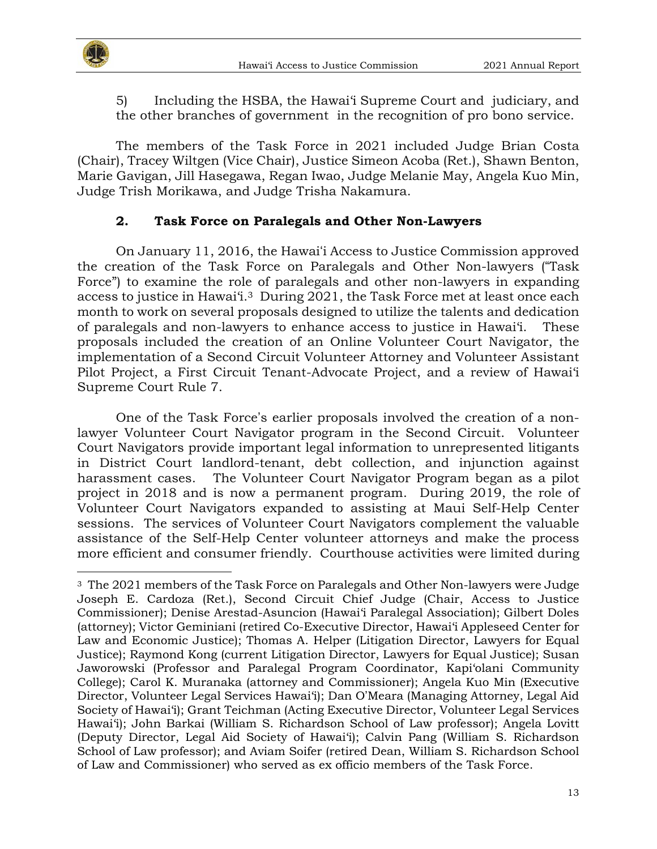

 5) Including the HSBA, the Hawai'i Supreme Court and judiciary, and the other branches of government in the recognition of pro bono service.

 The members of the Task Force in 2021 included Judge Brian Costa (Chair), Tracey Wiltgen (Vice Chair), Justice Simeon Acoba (Ret.), Shawn Benton, Marie Gavigan, Jill Hasegawa, Regan Iwao, Judge Melanie May, Angela Kuo Min, Judge Trish Morikawa, and Judge Trisha Nakamura.

## **2. Task Force on Paralegals and Other Non-Lawyers**

 On January 11, 2016, the Hawai'i Access to Justice Commission approved the creation of the Task Force on Paralegals and Other Non-lawyers ("Task Force") to examine the role of paralegals and other non-lawyers in expanding access to justice in Hawai'i.3 During 2021, the Task Force met at least once each month to work on several proposals designed to utilize the talents and dedication of paralegals and non-lawyers to enhance access to justice in Hawai'i. These proposals included the creation of an Online Volunteer Court Navigator, the implementation of a Second Circuit Volunteer Attorney and Volunteer Assistant Pilot Project, a First Circuit Tenant-Advocate Project, and a review of Hawai'i Supreme Court Rule 7.

 One of the Task Force's earlier proposals involved the creation of a nonlawyer Volunteer Court Navigator program in the Second Circuit. Volunteer Court Navigators provide important legal information to unrepresented litigants in District Court landlord-tenant, debt collection, and injunction against harassment cases. The Volunteer Court Navigator Program began as a pilot project in 2018 and is now a permanent program. During 2019, the role of Volunteer Court Navigators expanded to assisting at Maui Self-Help Center sessions. The services of Volunteer Court Navigators complement the valuable assistance of the Self-Help Center volunteer attorneys and make the process more efficient and consumer friendly. Courthouse activities were limited during

<sup>3</sup> The 2021 members of the Task Force on Paralegals and Other Non-lawyers were Judge Joseph E. Cardoza (Ret.), Second Circuit Chief Judge (Chair, Access to Justice Commissioner); Denise Arestad-Asuncion (Hawai'i Paralegal Association); Gilbert Doles (attorney); Victor Geminiani (retired Co-Executive Director, Hawai'i Appleseed Center for Law and Economic Justice); Thomas A. Helper (Litigation Director, Lawyers for Equal Justice); Raymond Kong (current Litigation Director, Lawyers for Equal Justice); Susan Jaworowski (Professor and Paralegal Program Coordinator, Kapi'olani Community College); Carol K. Muranaka (attorney and Commissioner); Angela Kuo Min (Executive Director, Volunteer Legal Services Hawai'i); Dan O'Meara (Managing Attorney, Legal Aid Society of Hawai'i); Grant Teichman (Acting Executive Director, Volunteer Legal Services Hawai'i); John Barkai (William S. Richardson School of Law professor); Angela Lovitt (Deputy Director, Legal Aid Society of Hawai'i); Calvin Pang (William S. Richardson School of Law professor); and Aviam Soifer (retired Dean, William S. Richardson School of Law and Commissioner) who served as ex officio members of the Task Force.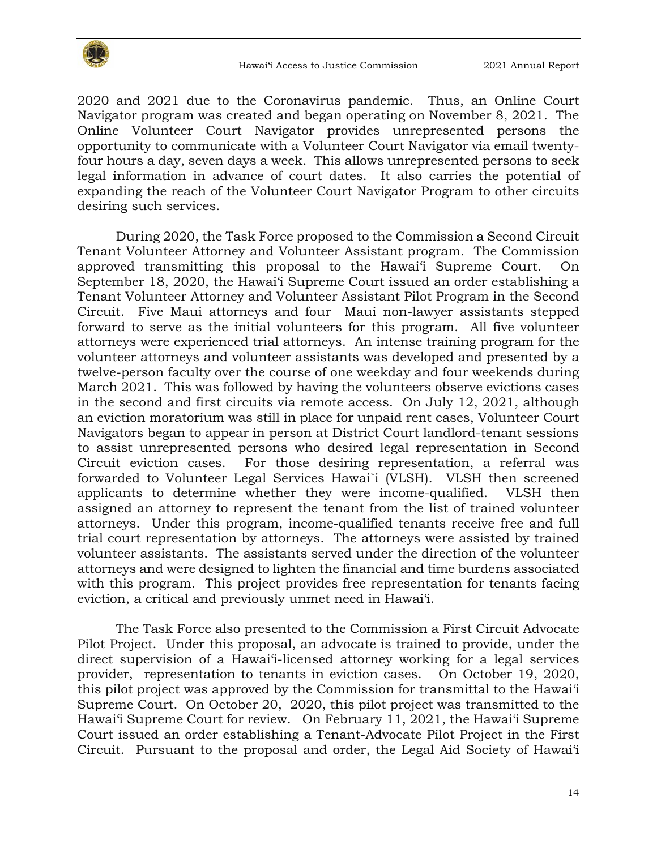

2020 and 2021 due to the Coronavirus pandemic. Thus, an Online Court Navigator program was created and began operating on November 8, 2021. The Online Volunteer Court Navigator provides unrepresented persons the opportunity to communicate with a Volunteer Court Navigator via email twentyfour hours a day, seven days a week. This allows unrepresented persons to seek legal information in advance of court dates. It also carries the potential of expanding the reach of the Volunteer Court Navigator Program to other circuits desiring such services.

 During 2020, the Task Force proposed to the Commission a Second Circuit Tenant Volunteer Attorney and Volunteer Assistant program. The Commission approved transmitting this proposal to the Hawai'i Supreme Court. On September 18, 2020, the Hawai'i Supreme Court issued an order establishing a Tenant Volunteer Attorney and Volunteer Assistant Pilot Program in the Second Circuit. Five Maui attorneys and four Maui non-lawyer assistants stepped forward to serve as the initial volunteers for this program. All five volunteer attorneys were experienced trial attorneys. An intense training program for the volunteer attorneys and volunteer assistants was developed and presented by a twelve-person faculty over the course of one weekday and four weekends during March 2021. This was followed by having the volunteers observe evictions cases in the second and first circuits via remote access. On July 12, 2021, although an eviction moratorium was still in place for unpaid rent cases, Volunteer Court Navigators began to appear in person at District Court landlord-tenant sessions to assist unrepresented persons who desired legal representation in Second Circuit eviction cases. For those desiring representation, a referral was forwarded to Volunteer Legal Services Hawai`i (VLSH). VLSH then screened applicants to determine whether they were income-qualified. VLSH then assigned an attorney to represent the tenant from the list of trained volunteer attorneys. Under this program, income-qualified tenants receive free and full trial court representation by attorneys. The attorneys were assisted by trained volunteer assistants. The assistants served under the direction of the volunteer attorneys and were designed to lighten the financial and time burdens associated with this program. This project provides free representation for tenants facing eviction, a critical and previously unmet need in Hawai'i.

 The Task Force also presented to the Commission a First Circuit Advocate Pilot Project. Under this proposal, an advocate is trained to provide, under the direct supervision of a Hawai'i-licensed attorney working for a legal services provider, representation to tenants in eviction cases. On October 19, 2020, this pilot project was approved by the Commission for transmittal to the Hawai'i Supreme Court. On October 20, 2020, this pilot project was transmitted to the Hawai'i Supreme Court for review. On February 11, 2021, the Hawai'i Supreme Court issued an order establishing a Tenant-Advocate Pilot Project in the First Circuit. Pursuant to the proposal and order, the Legal Aid Society of Hawai'i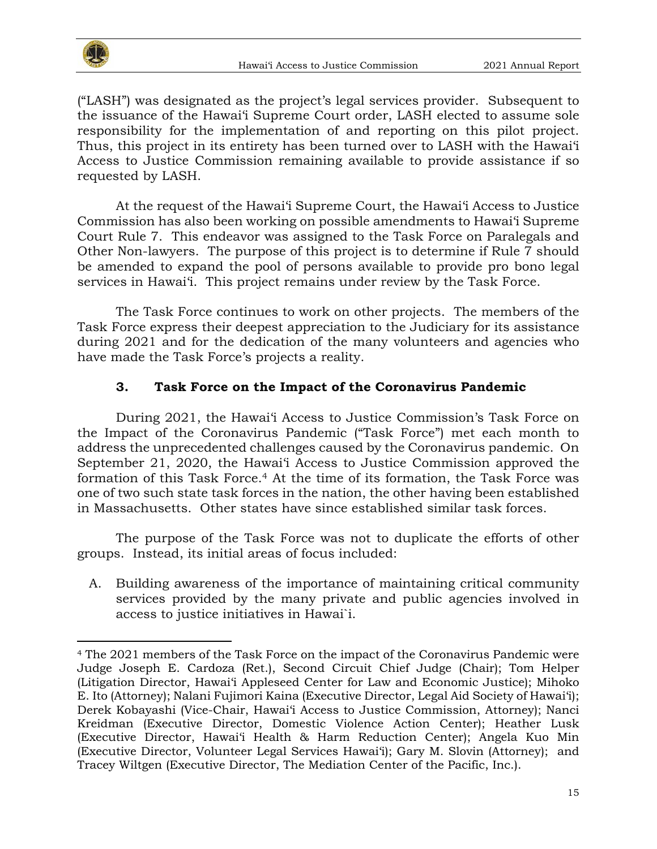

("LASH") was designated as the project's legal services provider. Subsequent to the issuance of the Hawai'i Supreme Court order, LASH elected to assume sole responsibility for the implementation of and reporting on this pilot project. Thus, this project in its entirety has been turned over to LASH with the Hawai'i Access to Justice Commission remaining available to provide assistance if so requested by LASH.

 At the request of the Hawai'i Supreme Court, the Hawai'i Access to Justice Commission has also been working on possible amendments to Hawai'i Supreme Court Rule 7. This endeavor was assigned to the Task Force on Paralegals and Other Non-lawyers. The purpose of this project is to determine if Rule 7 should be amended to expand the pool of persons available to provide pro bono legal services in Hawai'i. This project remains under review by the Task Force.

 The Task Force continues to work on other projects. The members of the Task Force express their deepest appreciation to the Judiciary for its assistance during 2021 and for the dedication of the many volunteers and agencies who have made the Task Force's projects a reality.

## **3. Task Force on the Impact of the Coronavirus Pandemic**

During 2021, the Hawai'i Access to Justice Commission's Task Force on the Impact of the Coronavirus Pandemic ("Task Force") met each month to address the unprecedented challenges caused by the Coronavirus pandemic. On September 21, 2020, the Hawai'i Access to Justice Commission approved the formation of this Task Force.4 At the time of its formation, the Task Force was one of two such state task forces in the nation, the other having been established in Massachusetts. Other states have since established similar task forces.

 The purpose of the Task Force was not to duplicate the efforts of other groups. Instead, its initial areas of focus included:

 A. Building awareness of the importance of maintaining critical community services provided by the many private and public agencies involved in access to justice initiatives in Hawai`i.

<sup>4</sup> The 2021 members of the Task Force on the impact of the Coronavirus Pandemic were Judge Joseph E. Cardoza (Ret.), Second Circuit Chief Judge (Chair); Tom Helper (Litigation Director, Hawai'i Appleseed Center for Law and Economic Justice); Mihoko E. Ito (Attorney); Nalani Fujimori Kaina (Executive Director, Legal Aid Society of Hawai'i); Derek Kobayashi (Vice-Chair, Hawai'i Access to Justice Commission, Attorney); Nanci Kreidman (Executive Director, Domestic Violence Action Center); Heather Lusk (Executive Director, Hawai'i Health & Harm Reduction Center); Angela Kuo Min (Executive Director, Volunteer Legal Services Hawai'i); Gary M. Slovin (Attorney); and Tracey Wiltgen (Executive Director, The Mediation Center of the Pacific, Inc.).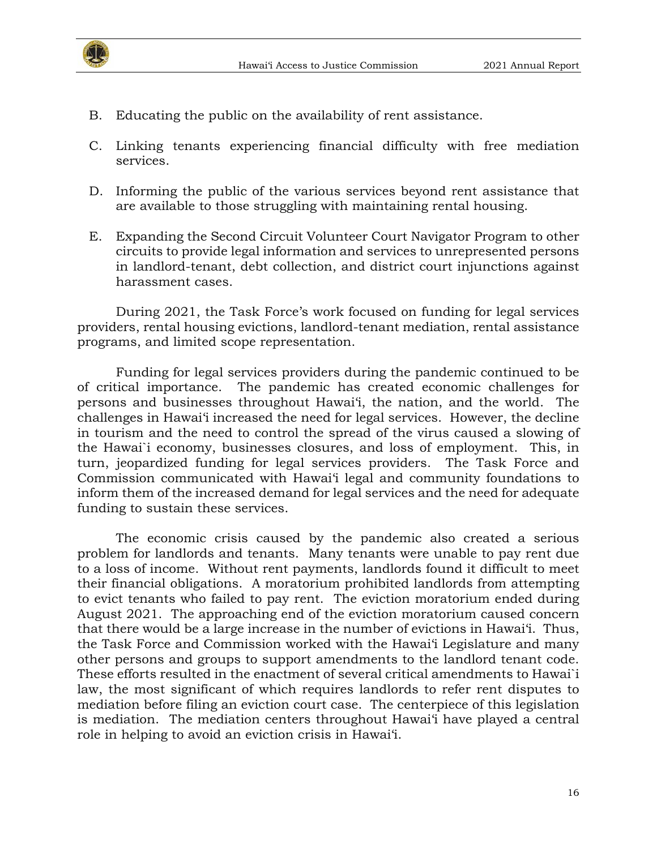

- B. Educating the public on the availability of rent assistance.
- C. Linking tenants experiencing financial difficulty with free mediation services.
- D. Informing the public of the various services beyond rent assistance that are available to those struggling with maintaining rental housing.
- E. Expanding the Second Circuit Volunteer Court Navigator Program to other circuits to provide legal information and services to unrepresented persons in landlord-tenant, debt collection, and district court injunctions against harassment cases.

 During 2021, the Task Force's work focused on funding for legal services providers, rental housing evictions, landlord-tenant mediation, rental assistance programs, and limited scope representation.

 Funding for legal services providers during the pandemic continued to be of critical importance. The pandemic has created economic challenges for persons and businesses throughout Hawai'i, the nation, and the world. The challenges in Hawai'i increased the need for legal services. However, the decline in tourism and the need to control the spread of the virus caused a slowing of the Hawai`i economy, businesses closures, and loss of employment. This, in turn, jeopardized funding for legal services providers. The Task Force and Commission communicated with Hawai'i legal and community foundations to inform them of the increased demand for legal services and the need for adequate funding to sustain these services.

 The economic crisis caused by the pandemic also created a serious problem for landlords and tenants. Many tenants were unable to pay rent due to a loss of income. Without rent payments, landlords found it difficult to meet their financial obligations. A moratorium prohibited landlords from attempting to evict tenants who failed to pay rent. The eviction moratorium ended during August 2021. The approaching end of the eviction moratorium caused concern that there would be a large increase in the number of evictions in Hawai'i. Thus, the Task Force and Commission worked with the Hawai'i Legislature and many other persons and groups to support amendments to the landlord tenant code. These efforts resulted in the enactment of several critical amendments to Hawai`i law, the most significant of which requires landlords to refer rent disputes to mediation before filing an eviction court case. The centerpiece of this legislation is mediation. The mediation centers throughout Hawai'i have played a central role in helping to avoid an eviction crisis in Hawai'i.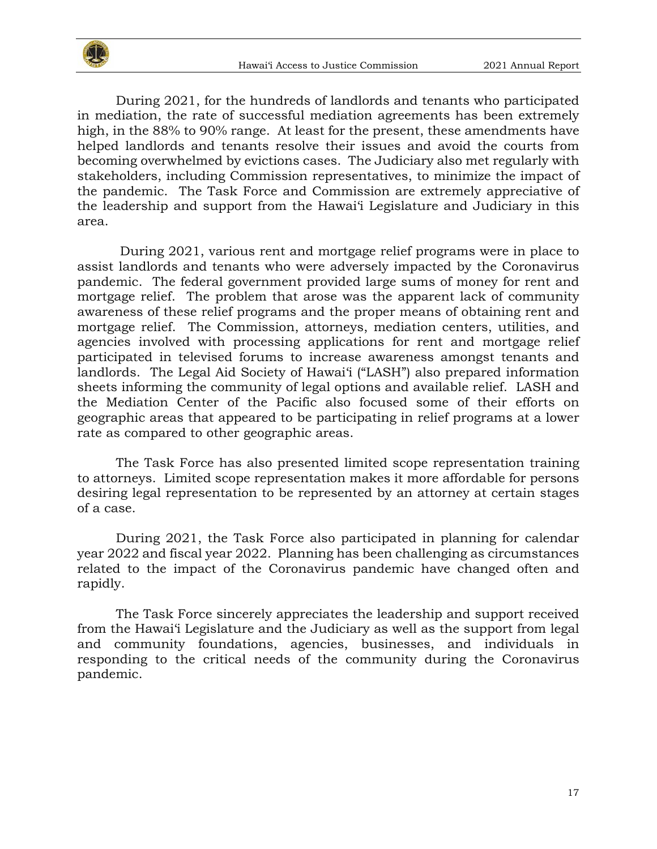

 During 2021, for the hundreds of landlords and tenants who participated in mediation, the rate of successful mediation agreements has been extremely high, in the 88% to 90% range. At least for the present, these amendments have helped landlords and tenants resolve their issues and avoid the courts from becoming overwhelmed by evictions cases. The Judiciary also met regularly with stakeholders, including Commission representatives, to minimize the impact of the pandemic. The Task Force and Commission are extremely appreciative of the leadership and support from the Hawai'i Legislature and Judiciary in this area.

 During 2021, various rent and mortgage relief programs were in place to assist landlords and tenants who were adversely impacted by the Coronavirus pandemic. The federal government provided large sums of money for rent and mortgage relief. The problem that arose was the apparent lack of community awareness of these relief programs and the proper means of obtaining rent and mortgage relief. The Commission, attorneys, mediation centers, utilities, and agencies involved with processing applications for rent and mortgage relief participated in televised forums to increase awareness amongst tenants and landlords. The Legal Aid Society of Hawai'i ("LASH") also prepared information sheets informing the community of legal options and available relief. LASH and the Mediation Center of the Pacific also focused some of their efforts on geographic areas that appeared to be participating in relief programs at a lower rate as compared to other geographic areas.

 The Task Force has also presented limited scope representation training to attorneys. Limited scope representation makes it more affordable for persons desiring legal representation to be represented by an attorney at certain stages of a case.

 During 2021, the Task Force also participated in planning for calendar year 2022 and fiscal year 2022. Planning has been challenging as circumstances related to the impact of the Coronavirus pandemic have changed often and rapidly.

 The Task Force sincerely appreciates the leadership and support received from the Hawai'i Legislature and the Judiciary as well as the support from legal and community foundations, agencies, businesses, and individuals in responding to the critical needs of the community during the Coronavirus pandemic.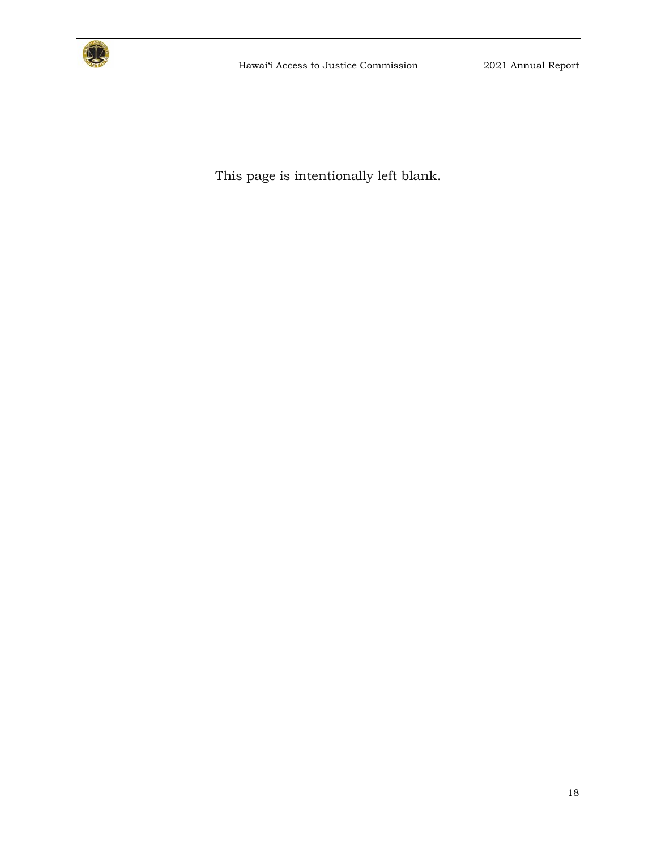

This page is intentionally left blank.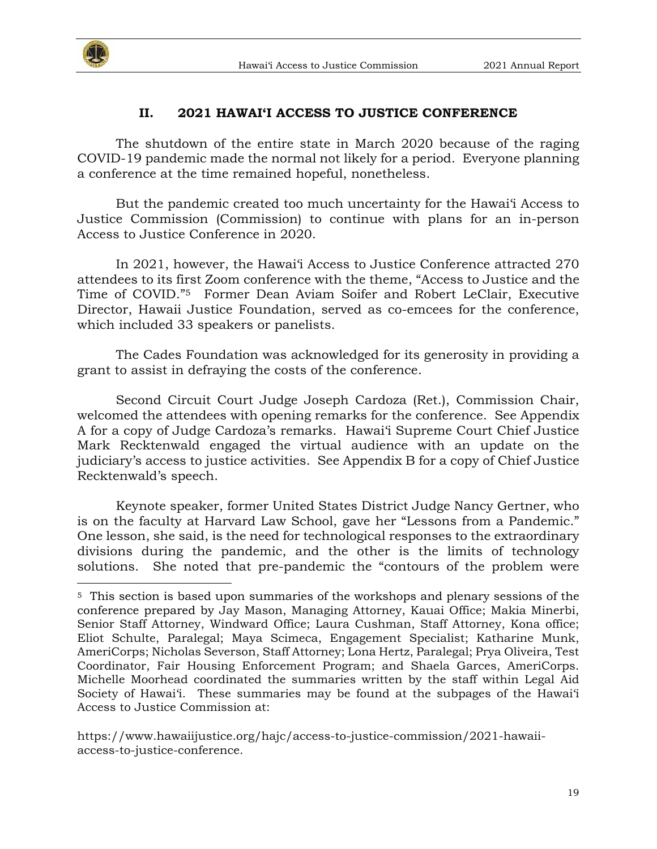

#### **II. 2021 HAWAI'I ACCESS TO JUSTICE CONFERENCE**

 The shutdown of the entire state in March 2020 because of the raging COVID-19 pandemic made the normal not likely for a period. Everyone planning a conference at the time remained hopeful, nonetheless.

 But the pandemic created too much uncertainty for the Hawai'i Access to Justice Commission (Commission) to continue with plans for an in-person Access to Justice Conference in 2020.

 In 2021, however, the Hawai'i Access to Justice Conference attracted 270 attendees to its first Zoom conference with the theme, "Access to Justice and the Time of COVID."5 Former Dean Aviam Soifer and Robert LeClair, Executive Director, Hawaii Justice Foundation, served as co-emcees for the conference, which included 33 speakers or panelists.

 The Cades Foundation was acknowledged for its generosity in providing a grant to assist in defraying the costs of the conference.

 Second Circuit Court Judge Joseph Cardoza (Ret.), Commission Chair, welcomed the attendees with opening remarks for the conference. See Appendix A for a copy of Judge Cardoza's remarks. Hawai'i Supreme Court Chief Justice Mark Recktenwald engaged the virtual audience with an update on the judiciary's access to justice activities. See Appendix B for a copy of Chief Justice Recktenwald's speech.

 Keynote speaker, former United States District Judge Nancy Gertner, who is on the faculty at Harvard Law School, gave her "Lessons from a Pandemic." One lesson, she said, is the need for technological responses to the extraordinary divisions during the pandemic, and the other is the limits of technology solutions. She noted that pre-pandemic the "contours of the problem were

<sup>5</sup> This section is based upon summaries of the workshops and plenary sessions of the conference prepared by Jay Mason, Managing Attorney, Kauai Office; Makia Minerbi, Senior Staff Attorney, Windward Office; Laura Cushman, Staff Attorney, Kona office; Eliot Schulte, Paralegal; Maya Scimeca, Engagement Specialist; Katharine Munk, AmeriCorps; Nicholas Severson, Staff Attorney; Lona Hertz, Paralegal; Prya Oliveira, Test Coordinator, Fair Housing Enforcement Program; and Shaela Garces, AmeriCorps. Michelle Moorhead coordinated the summaries written by the staff within Legal Aid Society of Hawai'i. These summaries may be found at the subpages of the Hawai'i Access to Justice Commission at:

https://www.hawaiijustice.org/hajc/access-to-justice-commission/2021-hawaiiaccess-to-justice-conference.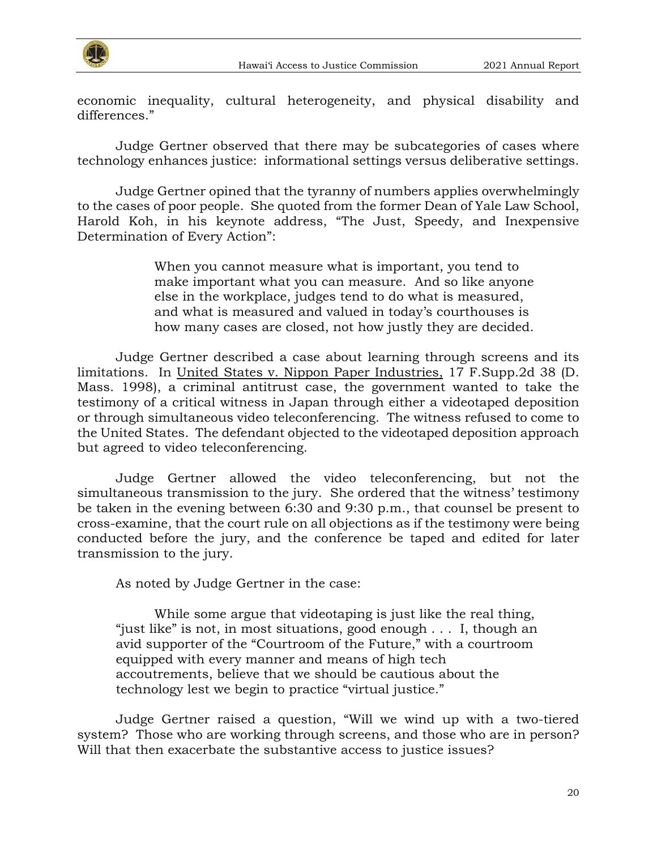

economic inequality, cultural heterogeneity, and physical disability and differences."

 Judge Gertner observed that there may be subcategories of cases where technology enhances justice: informational settings versus deliberative settings.

 Judge Gertner opined that the tyranny of numbers applies overwhelmingly to the cases of poor people. She quoted from the former Dean of Yale Law School, Harold Koh, in his keynote address, "The Just, Speedy, and Inexpensive Determination of Every Action":

> When you cannot measure what is important, you tend to make important what you can measure. And so like anyone else in the workplace, judges tend to do what is measured, and what is measured and valued in today's courthouses is how many cases are closed, not how justly they are decided.

 Judge Gertner described a case about learning through screens and its limitations. In United States v. Nippon Paper Industries, 17 F.Supp.2d 38 (D. Mass. 1998), a criminal antitrust case, the government wanted to take the testimony of a critical witness in Japan through either a videotaped deposition or through simultaneous video teleconferencing. The witness refused to come to the United States. The defendant objected to the videotaped deposition approach but agreed to video teleconferencing.

 Judge Gertner allowed the video teleconferencing, but not the simultaneous transmission to the jury. She ordered that the witness' testimony be taken in the evening between 6:30 and 9:30 p.m., that counsel be present to cross-examine, that the court rule on all objections as if the testimony were being conducted before the jury, and the conference be taped and edited for later transmission to the jury.

As noted by Judge Gertner in the case:

 While some argue that videotaping is just like the real thing, "just like" is not, in most situations, good enough . . . I, though an avid supporter of the "Courtroom of the Future," with a courtroom equipped with every manner and means of high tech accoutrements, believe that we should be cautious about the technology lest we begin to practice "virtual justice."

 Judge Gertner raised a question, "Will we wind up with a two-tiered system? Those who are working through screens, and those who are in person? Will that then exacerbate the substantive access to justice issues?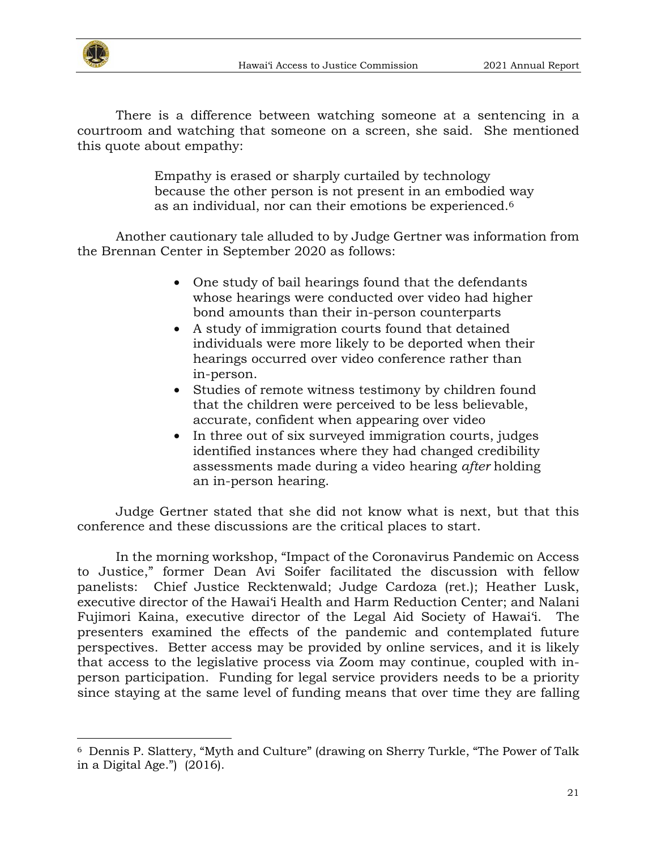



 There is a difference between watching someone at a sentencing in a courtroom and watching that someone on a screen, she said. She mentioned this quote about empathy:

> Empathy is erased or sharply curtailed by technology because the other person is not present in an embodied way as an individual, nor can their emotions be experienced.6

 Another cautionary tale alluded to by Judge Gertner was information from the Brennan Center in September 2020 as follows:

- One study of bail hearings found that the defendants whose hearings were conducted over video had higher bond amounts than their in-person counterparts
- A study of immigration courts found that detained individuals were more likely to be deported when their hearings occurred over video conference rather than in-person.
- Studies of remote witness testimony by children found that the children were perceived to be less believable, accurate, confident when appearing over video
- In three out of six surveyed immigration courts, judges identified instances where they had changed credibility assessments made during a video hearing *after* holding an in-person hearing.

 Judge Gertner stated that she did not know what is next, but that this conference and these discussions are the critical places to start.

 In the morning workshop, "Impact of the Coronavirus Pandemic on Access to Justice," former Dean Avi Soifer facilitated the discussion with fellow panelists: Chief Justice Recktenwald; Judge Cardoza (ret.); Heather Lusk, executive director of the Hawai'i Health and Harm Reduction Center; and Nalani Fujimori Kaina, executive director of the Legal Aid Society of Hawai'i. The presenters examined the effects of the pandemic and contemplated future perspectives. Better access may be provided by online services, and it is likely that access to the legislative process via Zoom may continue, coupled with inperson participation. Funding for legal service providers needs to be a priority since staying at the same level of funding means that over time they are falling

<sup>6</sup> Dennis P. Slattery, "Myth and Culture" (drawing on Sherry Turkle, "The Power of Talk in a Digital Age.") (2016).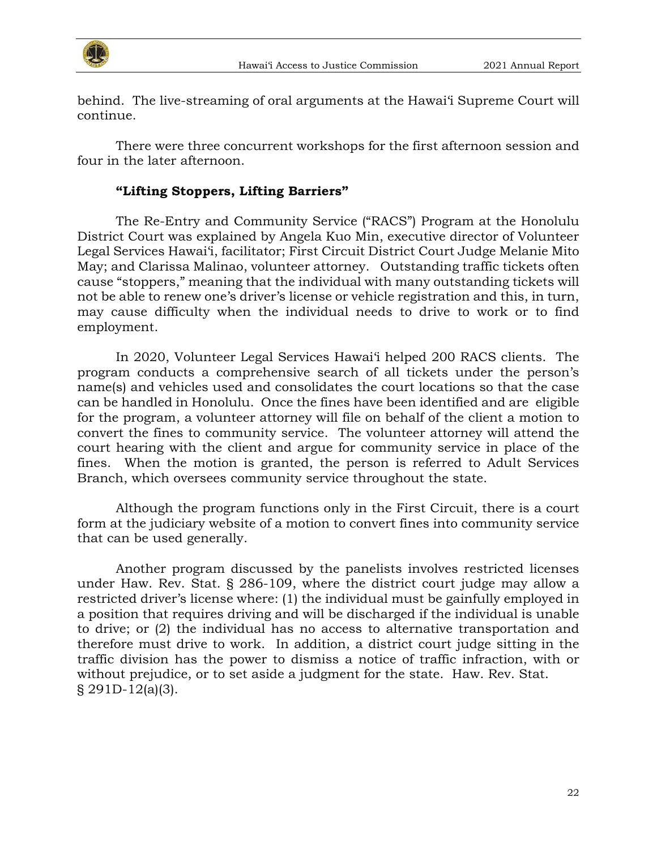

behind. The live-streaming of oral arguments at the Hawai'i Supreme Court will continue.

 There were three concurrent workshops for the first afternoon session and four in the later afternoon.

### **"Lifting Stoppers, Lifting Barriers"**

 The Re-Entry and Community Service ("RACS") Program at the Honolulu District Court was explained by Angela Kuo Min, executive director of Volunteer Legal Services Hawai'i, facilitator; First Circuit District Court Judge Melanie Mito May; and Clarissa Malinao, volunteer attorney. Outstanding traffic tickets often cause "stoppers," meaning that the individual with many outstanding tickets will not be able to renew one's driver's license or vehicle registration and this, in turn, may cause difficulty when the individual needs to drive to work or to find employment.

 In 2020, Volunteer Legal Services Hawai'i helped 200 RACS clients. The program conducts a comprehensive search of all tickets under the person's name(s) and vehicles used and consolidates the court locations so that the case can be handled in Honolulu. Once the fines have been identified and are eligible for the program, a volunteer attorney will file on behalf of the client a motion to convert the fines to community service. The volunteer attorney will attend the court hearing with the client and argue for community service in place of the fines. When the motion is granted, the person is referred to Adult Services Branch, which oversees community service throughout the state.

 Although the program functions only in the First Circuit, there is a court form at the judiciary website of a motion to convert fines into community service that can be used generally.

 Another program discussed by the panelists involves restricted licenses under Haw. Rev. Stat. § 286-109, where the district court judge may allow a restricted driver's license where: (1) the individual must be gainfully employed in a position that requires driving and will be discharged if the individual is unable to drive; or (2) the individual has no access to alternative transportation and therefore must drive to work. In addition, a district court judge sitting in the traffic division has the power to dismiss a notice of traffic infraction, with or without prejudice, or to set aside a judgment for the state. Haw. Rev. Stat. § 291D-12(a)(3).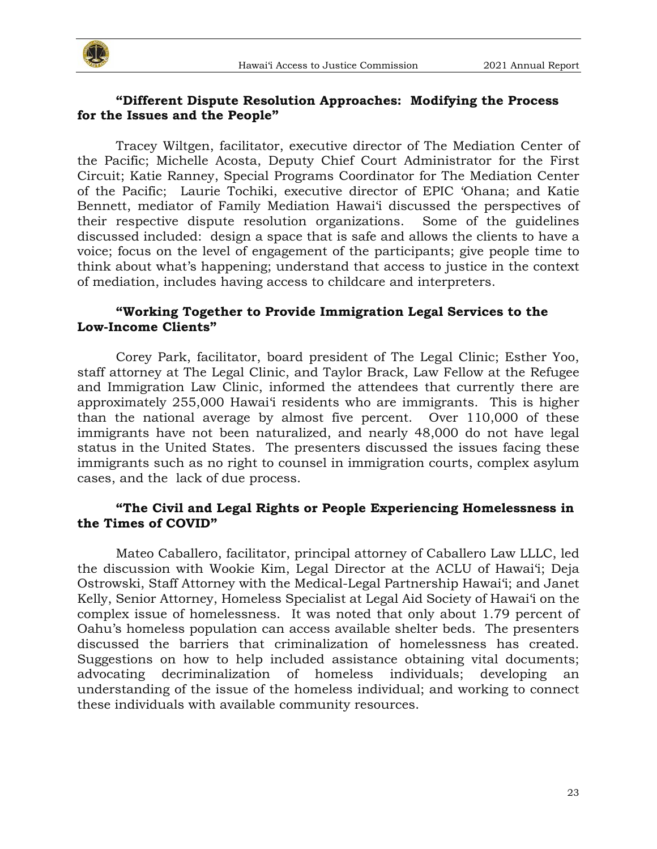

#### **"Different Dispute Resolution Approaches: Modifying the Process for the Issues and the People"**

 Tracey Wiltgen, facilitator, executive director of The Mediation Center of the Pacific; Michelle Acosta, Deputy Chief Court Administrator for the First Circuit; Katie Ranney, Special Programs Coordinator for The Mediation Center of the Pacific; Laurie Tochiki, executive director of EPIC 'Ohana; and Katie Bennett, mediator of Family Mediation Hawai'i discussed the perspectives of their respective dispute resolution organizations. Some of the guidelines discussed included: design a space that is safe and allows the clients to have a voice; focus on the level of engagement of the participants; give people time to think about what's happening; understand that access to justice in the context of mediation, includes having access to childcare and interpreters.

## **"Working Together to Provide Immigration Legal Services to the Low-Income Clients"**

 Corey Park, facilitator, board president of The Legal Clinic; Esther Yoo, staff attorney at The Legal Clinic, and Taylor Brack, Law Fellow at the Refugee and Immigration Law Clinic, informed the attendees that currently there are approximately 255,000 Hawai'i residents who are immigrants. This is higher than the national average by almost five percent. Over 110,000 of these immigrants have not been naturalized, and nearly 48,000 do not have legal status in the United States. The presenters discussed the issues facing these immigrants such as no right to counsel in immigration courts, complex asylum cases, and the lack of due process.

#### **"The Civil and Legal Rights or People Experiencing Homelessness in the Times of COVID"**

 Mateo Caballero, facilitator, principal attorney of Caballero Law LLLC, led the discussion with Wookie Kim, Legal Director at the ACLU of Hawai'i; Deja Ostrowski, Staff Attorney with the Medical-Legal Partnership Hawai'i; and Janet Kelly, Senior Attorney, Homeless Specialist at Legal Aid Society of Hawai'i on the complex issue of homelessness. It was noted that only about 1.79 percent of Oahu's homeless population can access available shelter beds. The presenters discussed the barriers that criminalization of homelessness has created. Suggestions on how to help included assistance obtaining vital documents; advocating decriminalization of homeless individuals; developing an understanding of the issue of the homeless individual; and working to connect these individuals with available community resources.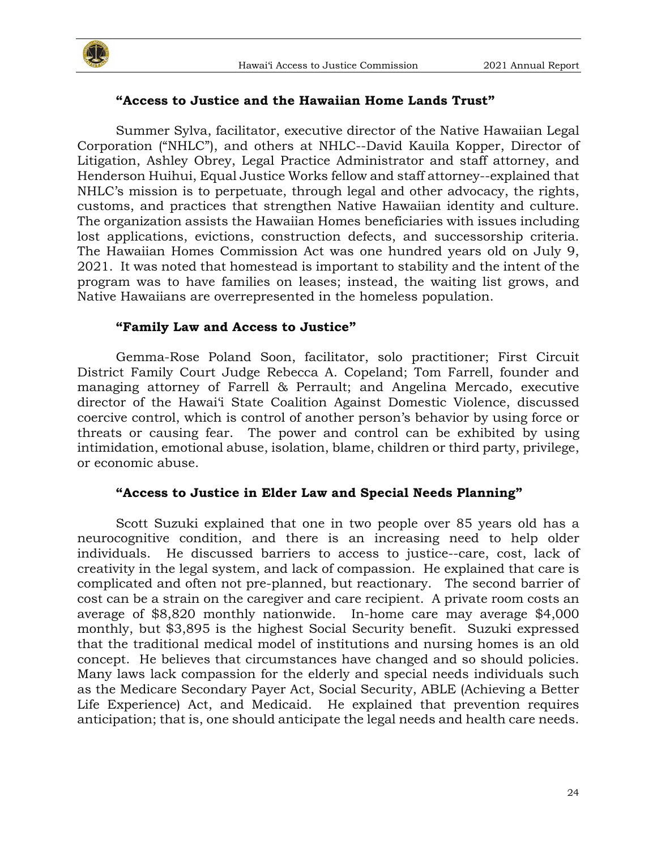#### **"Access to Justice and the Hawaiian Home Lands Trust"**

 Summer Sylva, facilitator, executive director of the Native Hawaiian Legal Corporation ("NHLC"), and others at NHLC--David Kauila Kopper, Director of Litigation, Ashley Obrey, Legal Practice Administrator and staff attorney, and Henderson Huihui, Equal Justice Works fellow and staff attorney--explained that NHLC's mission is to perpetuate, through legal and other advocacy, the rights, customs, and practices that strengthen Native Hawaiian identity and culture. The organization assists the Hawaiian Homes beneficiaries with issues including lost applications, evictions, construction defects, and successorship criteria. The Hawaiian Homes Commission Act was one hundred years old on July 9, 2021. It was noted that homestead is important to stability and the intent of the program was to have families on leases; instead, the waiting list grows, and Native Hawaiians are overrepresented in the homeless population.

#### **"Family Law and Access to Justice"**

 Gemma-Rose Poland Soon, facilitator, solo practitioner; First Circuit District Family Court Judge Rebecca A. Copeland; Tom Farrell, founder and managing attorney of Farrell & Perrault; and Angelina Mercado, executive director of the Hawai'i State Coalition Against Domestic Violence, discussed coercive control, which is control of another person's behavior by using force or threats or causing fear. The power and control can be exhibited by using intimidation, emotional abuse, isolation, blame, children or third party, privilege, or economic abuse.

#### **"Access to Justice in Elder Law and Special Needs Planning"**

 Scott Suzuki explained that one in two people over 85 years old has a neurocognitive condition, and there is an increasing need to help older individuals. He discussed barriers to access to justice--care, cost, lack of creativity in the legal system, and lack of compassion. He explained that care is complicated and often not pre-planned, but reactionary. The second barrier of cost can be a strain on the caregiver and care recipient. A private room costs an average of \$8,820 monthly nationwide. In-home care may average \$4,000 monthly, but \$3,895 is the highest Social Security benefit. Suzuki expressed that the traditional medical model of institutions and nursing homes is an old concept. He believes that circumstances have changed and so should policies. Many laws lack compassion for the elderly and special needs individuals such as the Medicare Secondary Payer Act, Social Security, ABLE (Achieving a Better Life Experience) Act, and Medicaid. He explained that prevention requires anticipation; that is, one should anticipate the legal needs and health care needs.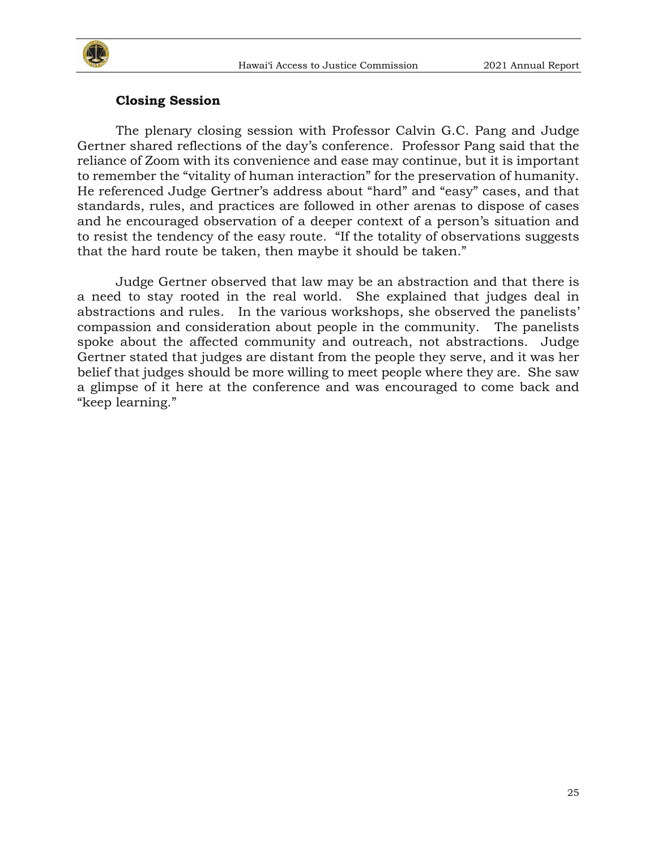

#### **Closing Session**

 The plenary closing session with Professor Calvin G.C. Pang and Judge Gertner shared reflections of the day's conference. Professor Pang said that the reliance of Zoom with its convenience and ease may continue, but it is important to remember the "vitality of human interaction" for the preservation of humanity. He referenced Judge Gertner's address about "hard" and "easy" cases, and that standards, rules, and practices are followed in other arenas to dispose of cases and he encouraged observation of a deeper context of a person's situation and to resist the tendency of the easy route. "If the totality of observations suggests that the hard route be taken, then maybe it should be taken."

 Judge Gertner observed that law may be an abstraction and that there is a need to stay rooted in the real world. She explained that judges deal in abstractions and rules. In the various workshops, she observed the panelists' compassion and consideration about people in the community. The panelists spoke about the affected community and outreach, not abstractions. Judge Gertner stated that judges are distant from the people they serve, and it was her belief that judges should be more willing to meet people where they are. She saw a glimpse of it here at the conference and was encouraged to come back and "keep learning."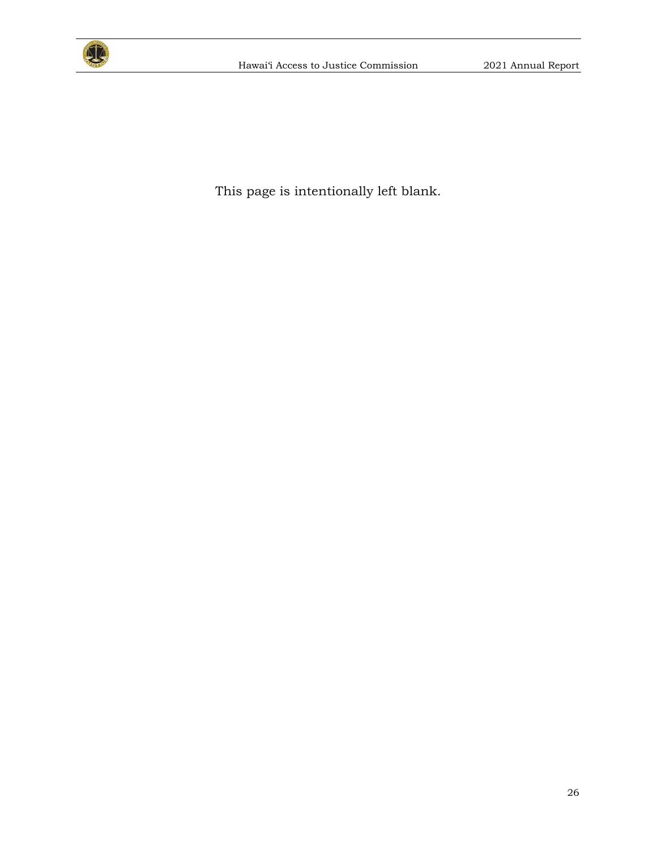

This page is intentionally left blank.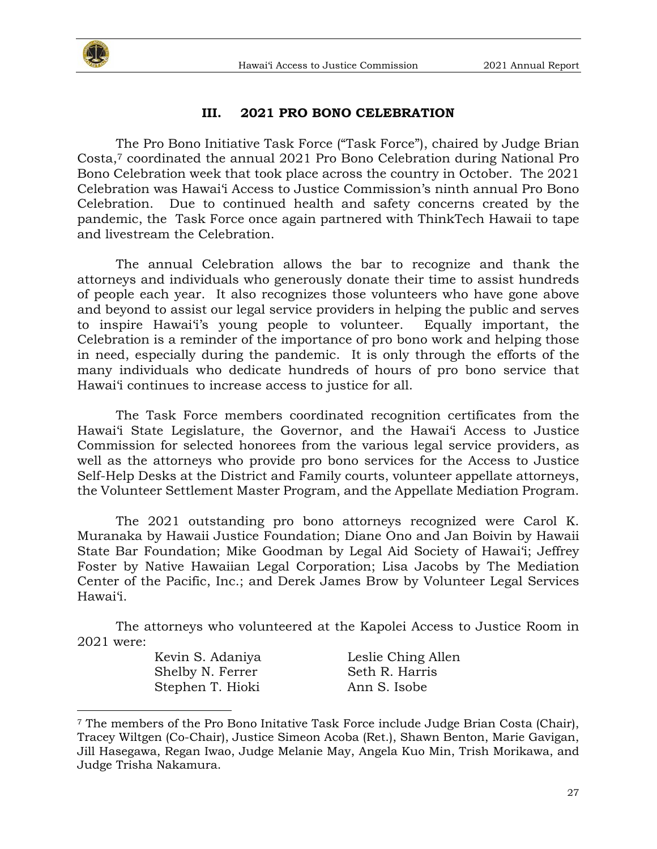



#### **III. 2021 PRO BONO CELEBRATION**

 The Pro Bono Initiative Task Force ("Task Force"), chaired by Judge Brian Costa,7 coordinated the annual 2021 Pro Bono Celebration during National Pro Bono Celebration week that took place across the country in October. The 2021 Celebration was Hawai'i Access to Justice Commission's ninth annual Pro Bono Celebration. Due to continued health and safety concerns created by the pandemic, the Task Force once again partnered with ThinkTech Hawaii to tape and livestream the Celebration.

 The annual Celebration allows the bar to recognize and thank the attorneys and individuals who generously donate their time to assist hundreds of people each year. It also recognizes those volunteers who have gone above and beyond to assist our legal service providers in helping the public and serves to inspire Hawai'i's young people to volunteer. Equally important, the Celebration is a reminder of the importance of pro bono work and helping those in need, especially during the pandemic. It is only through the efforts of the many individuals who dedicate hundreds of hours of pro bono service that Hawai'i continues to increase access to justice for all.

 The Task Force members coordinated recognition certificates from the Hawai'i State Legislature, the Governor, and the Hawai'i Access to Justice Commission for selected honorees from the various legal service providers, as well as the attorneys who provide pro bono services for the Access to Justice Self-Help Desks at the District and Family courts, volunteer appellate attorneys, the Volunteer Settlement Master Program, and the Appellate Mediation Program.

 The 2021 outstanding pro bono attorneys recognized were Carol K. Muranaka by Hawaii Justice Foundation; Diane Ono and Jan Boivin by Hawaii State Bar Foundation; Mike Goodman by Legal Aid Society of Hawai'i; Jeffrey Foster by Native Hawaiian Legal Corporation; Lisa Jacobs by The Mediation Center of the Pacific, Inc.; and Derek James Brow by Volunteer Legal Services Hawai'i.

 The attorneys who volunteered at the Kapolei Access to Justice Room in 2021 were:

> Shelby N. Ferrer Seth R. Harris Stephen T. Hioki Ann S. Isobe

Kevin S. Adaniya Leslie Ching Allen

<sup>7</sup> The members of the Pro Bono Initative Task Force include Judge Brian Costa (Chair), Tracey Wiltgen (Co-Chair), Justice Simeon Acoba (Ret.), Shawn Benton, Marie Gavigan, Jill Hasegawa, Regan Iwao, Judge Melanie May, Angela Kuo Min, Trish Morikawa, and Judge Trisha Nakamura.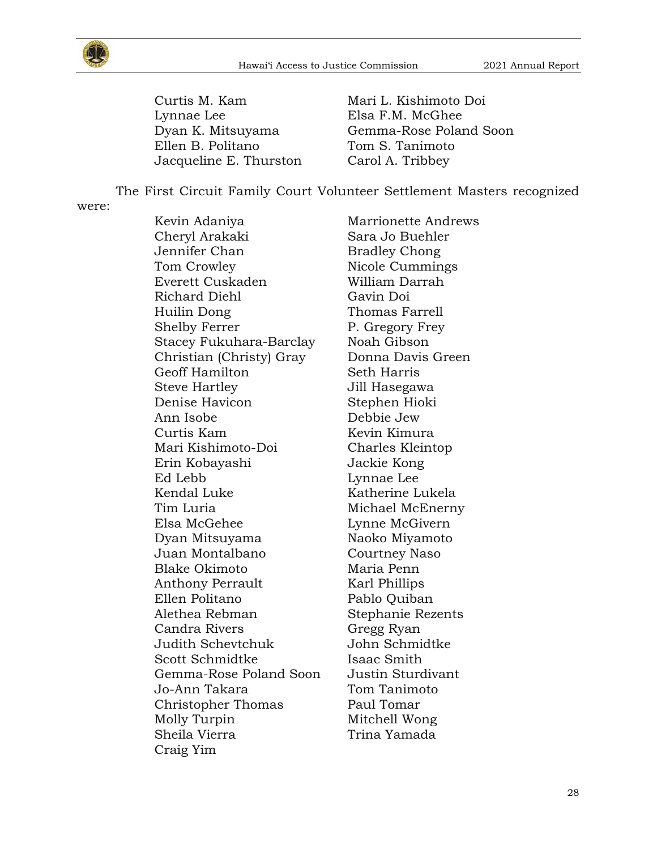

 Curtis M. Kam Mari L. Kishimoto Doi Lynnae Lee Elsa F.M. McGhee Dyan K. Mitsuyama Gemma-Rose Poland Soon Ellen B. Politano Tom S. Tanimoto Jacqueline E. Thurston Carol A. Tribbey

The First Circuit Family Court Volunteer Settlement Masters recognized

#### were:

Kevin Adaniya Marrionette Andrews Cheryl Arakaki Sara Jo Buehler Jennifer Chan Bradley Chong Tom Crowley Nicole Cummings Everett Cuskaden William Darrah Richard Diehl Gavin Doi Huilin Dong Thomas Farrell Shelby Ferrer P. Gregory Frey Stacey Fukuhara-Barclay Noah Gibson Christian (Christy) Gray Donna Davis Green Geoff Hamilton Seth Harris Steve Hartley Jill Hasegawa Denise Havicon Stephen Hioki Ann Isobe Debbie Jew Curtis Kam Kevin Kimura Mari Kishimoto-Doi Charles Kleintop Erin Kobayashi Jackie Kong Ed Lebb Lynnae Lee Kendal Luke Katherine Lukela Tim Luria **Michael McEnerny**  Elsa McGehee Lynne McGivern Dyan Mitsuyama Naoko Miyamoto Juan Montalbano Courtney Naso Blake Okimoto Maria Penn Anthony Perrault Karl Phillips Ellen Politano Pablo Quiban Alethea Rebman Stephanie Rezents Candra Rivers Gregg Ryan Judith Schevtchuk John Schmidtke Scott Schmidtke Isaac Smith Gemma-Rose Poland Soon Justin Sturdivant Jo-Ann Takara Tom Tanimoto Christopher Thomas Paul Tomar Molly Turpin Mitchell Wong Sheila Vierra **Trina Yamada** Craig Yim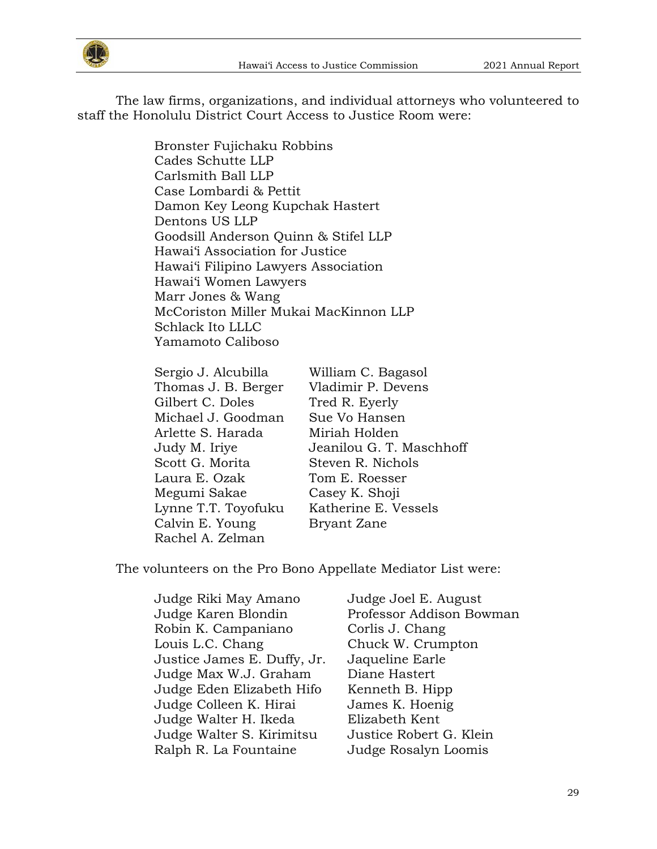



 The law firms, organizations, and individual attorneys who volunteered to staff the Honolulu District Court Access to Justice Room were:

> Bronster Fujichaku Robbins Cades Schutte LLP Carlsmith Ball LLP Case Lombardi & Pettit Damon Key Leong Kupchak Hastert Dentons US LLP Goodsill Anderson Quinn & Stifel LLP Hawai'i Association for Justice Hawai'i Filipino Lawyers Association Hawai'i Women Lawyers Marr Jones & Wang McCoriston Miller Mukai MacKinnon LLP Schlack Ito LLLC Yamamoto Caliboso

 Sergio J. Alcubilla William C. Bagasol Thomas J. B. Berger Vladimir P. Devens Gilbert C. Doles Tred R. Eyerly Michael J. Goodman Sue Vo Hansen Arlette S. Harada Miriah Holden Judy M. Iriye Jeanilou G. T. Maschhoff Scott G. Morita Steven R. Nichols Laura E. Ozak Tom E. Roesser Megumi Sakae Casey K. Shoji Lynne T.T. Toyofuku Katherine E. Vessels Calvin E. Young Bryant Zane Rachel A. Zelman

The volunteers on the Pro Bono Appellate Mediator List were:

| Judge Riki May Amano        | Judge Joel E. August     |
|-----------------------------|--------------------------|
| Judge Karen Blondin         | Professor Addison Bowman |
| Robin K. Campaniano         | Corlis J. Chang          |
| Louis L.C. Chang            | Chuck W. Crumpton        |
| Justice James E. Duffy, Jr. | Jaqueline Earle          |
| Judge Max W.J. Graham       | Diane Hastert            |
| Judge Eden Elizabeth Hifo   | Kenneth B. Hipp          |
| Judge Colleen K. Hirai      | James K. Hoenig          |
| Judge Walter H. Ikeda       | Elizabeth Kent           |
| Judge Walter S. Kirimitsu   | Justice Robert G. Klein  |
| Ralph R. La Fountaine       | Judge Rosalyn Loomis     |
|                             |                          |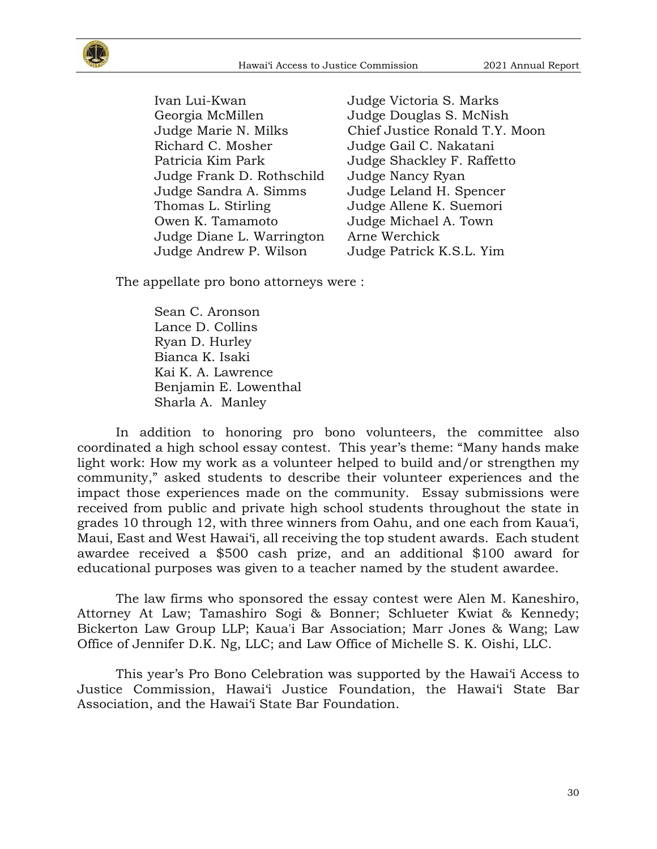

 Georgia McMillen Judge Douglas S. McNish Richard C. Mosher Judge Gail C. Nakatani Judge Frank D. Rothschild Judge Nancy Ryan Judge Sandra A. Simms Judge Leland H. Spencer Thomas L. Stirling Judge Allene K. Suemori Owen K. Tamamoto Judge Michael A. Town Judge Diane L. Warrington Arne Werchick Judge Andrew P. Wilson Judge Patrick K.S.L. Yim

 Ivan Lui-Kwan Judge Victoria S. Marks Judge Marie N. Milks Chief Justice Ronald T.Y. Moon Patricia Kim Park Judge Shackley F. Raffetto

The appellate pro bono attorneys were :

 Sean C. Aronson Lance D. Collins Ryan D. Hurley Bianca K. Isaki Kai K. A. Lawrence Benjamin E. Lowenthal Sharla A. Manley

In addition to honoring pro bono volunteers, the committee also coordinated a high school essay contest. This year's theme: "Many hands make light work: How my work as a volunteer helped to build and/or strengthen my community," asked students to describe their volunteer experiences and the impact those experiences made on the community. Essay submissions were received from public and private high school students throughout the state in grades 10 through 12, with three winners from Oahu, and one each from Kaua'i, Maui, East and West Hawai'i, all receiving the top student awards. Each student awardee received a \$500 cash prize, and an additional \$100 award for educational purposes was given to a teacher named by the student awardee.

 The law firms who sponsored the essay contest were Alen M. Kaneshiro, Attorney At Law; Tamashiro Sogi & Bonner; Schlueter Kwiat & Kennedy; Bickerton Law Group LLP; Kaua'i Bar Association; Marr Jones & Wang; Law Office of Jennifer D.K. Ng, LLC; and Law Office of Michelle S. K. Oishi, LLC.

 This year's Pro Bono Celebration was supported by the Hawai'i Access to Justice Commission, Hawai'i Justice Foundation, the Hawai'i State Bar Association, and the Hawai'i State Bar Foundation.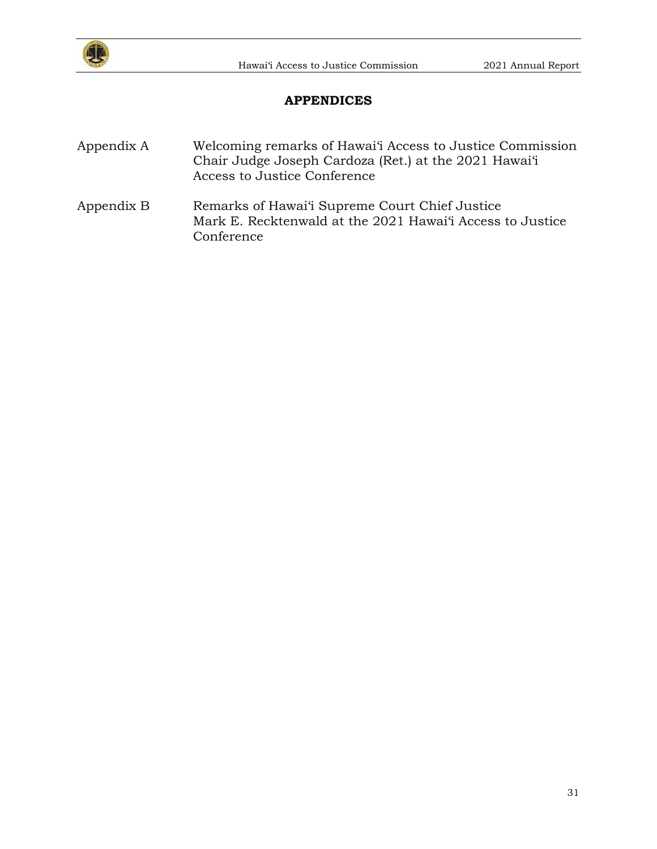

## **APPENDICES**

| Appendix A | Welcoming remarks of Hawai'i Access to Justice Commission<br>Chair Judge Joseph Cardoza (Ret.) at the 2021 Hawai'i<br>Access to Justice Conference |
|------------|----------------------------------------------------------------------------------------------------------------------------------------------------|
| Appendix B | Remarks of Hawai'i Supreme Court Chief Justice<br>Mark E. Recktenwald at the 2021 Hawai'i Access to Justice<br>Conference                          |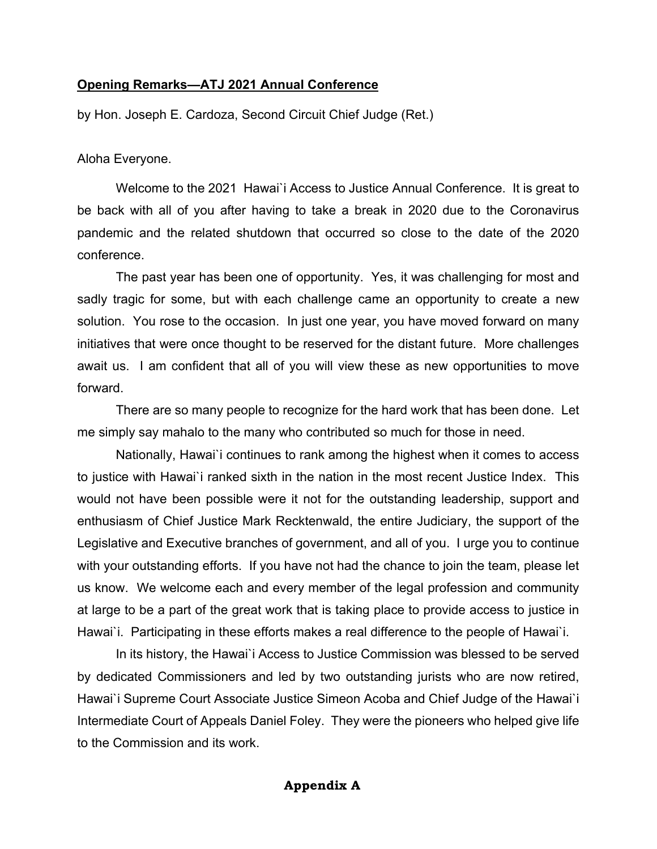## **Opening Remarks—ATJ 2021 Annual Conference**

by Hon. Joseph E. Cardoza, Second Circuit Chief Judge (Ret.)

Aloha Everyone.

Welcome to the 2021 Hawai`i Access to Justice Annual Conference. It is great to be back with all of you after having to take a break in 2020 due to the Coronavirus pandemic and the related shutdown that occurred so close to the date of the 2020 conference.

The past year has been one of opportunity. Yes, it was challenging for most and sadly tragic for some, but with each challenge came an opportunity to create a new solution. You rose to the occasion. In just one year, you have moved forward on many initiatives that were once thought to be reserved for the distant future. More challenges await us. I am confident that all of you will view these as new opportunities to move forward.

There are so many people to recognize for the hard work that has been done. Let me simply say mahalo to the many who contributed so much for those in need.

Nationally, Hawai`i continues to rank among the highest when it comes to access to justice with Hawai`i ranked sixth in the nation in the most recent Justice Index. This would not have been possible were it not for the outstanding leadership, support and enthusiasm of Chief Justice Mark Recktenwald, the entire Judiciary, the support of the Legislative and Executive branches of government, and all of you. I urge you to continue with your outstanding efforts. If you have not had the chance to join the team, please let us know. We welcome each and every member of the legal profession and community at large to be a part of the great work that is taking place to provide access to justice in Hawai`i. Participating in these efforts makes a real difference to the people of Hawai`i.

In its history, the Hawai`i Access to Justice Commission was blessed to be served by dedicated Commissioners and led by two outstanding jurists who are now retired, Hawai`i Supreme Court Associate Justice Simeon Acoba and Chief Judge of the Hawai`i Intermediate Court of Appeals Daniel Foley. They were the pioneers who helped give life to the Commission and its work.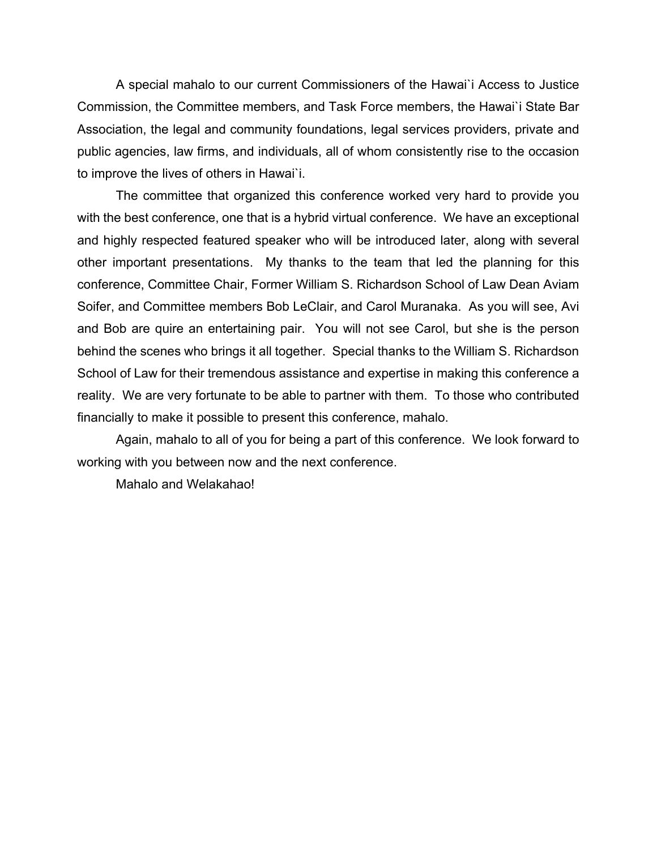A special mahalo to our current Commissioners of the Hawai`i Access to Justice Commission, the Committee members, and Task Force members, the Hawai`i State Bar Association, the legal and community foundations, legal services providers, private and public agencies, law firms, and individuals, all of whom consistently rise to the occasion to improve the lives of others in Hawai`i.

 The committee that organized this conference worked very hard to provide you with the best conference, one that is a hybrid virtual conference. We have an exceptional and highly respected featured speaker who will be introduced later, along with several other important presentations. My thanks to the team that led the planning for this conference, Committee Chair, Former William S. Richardson School of Law Dean Aviam Soifer, and Committee members Bob LeClair, and Carol Muranaka. As you will see, Avi and Bob are quire an entertaining pair. You will not see Carol, but she is the person behind the scenes who brings it all together. Special thanks to the William S. Richardson School of Law for their tremendous assistance and expertise in making this conference a reality. We are very fortunate to be able to partner with them. To those who contributed financially to make it possible to present this conference, mahalo.

 Again, mahalo to all of you for being a part of this conference. We look forward to working with you between now and the next conference.

Mahalo and Welakahao!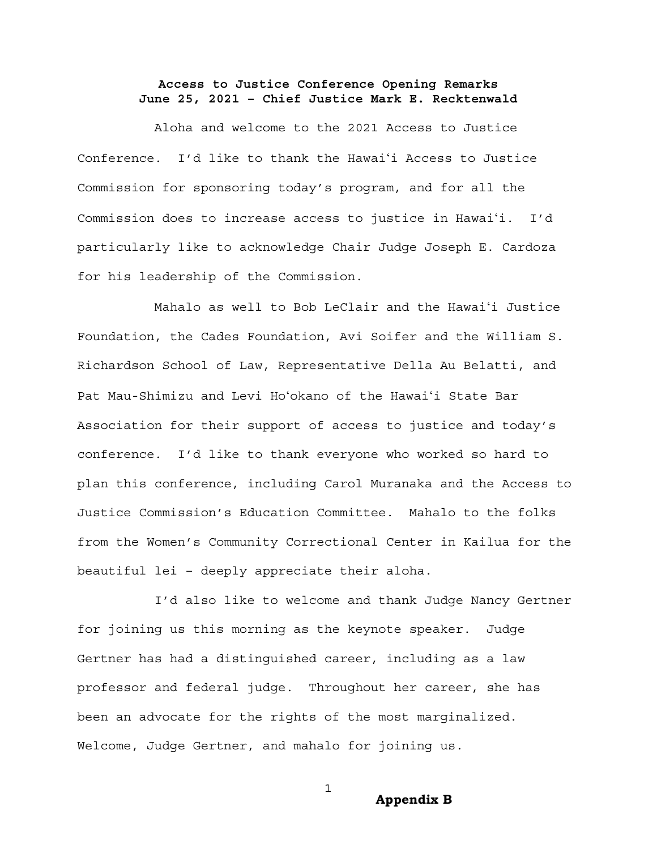#### **Access to Justice Conference Opening Remarks June 25, 2021 – Chief Justice Mark E. Recktenwald**

Aloha and welcome to the 2021 Access to Justice Conference. I'd like to thank the Hawai'i Access to Justice Commission for sponsoring today's program, and for all the Commission does to increase access to justice in Hawaiʻi. I'd particularly like to acknowledge Chair Judge Joseph E. Cardoza for his leadership of the Commission.

Mahalo as well to Bob LeClair and the Hawaiʻi Justice Foundation, the Cades Foundation, Avi Soifer and the William S. Richardson School of Law, Representative Della Au Belatti, and Pat Mau-Shimizu and Levi Hoʻokano of the Hawaiʻi State Bar Association for their support of access to justice and today's conference. I'd like to thank everyone who worked so hard to plan this conference, including Carol Muranaka and the Access to Justice Commission's Education Committee. Mahalo to the folks from the Women's Community Correctional Center in Kailua for the beautiful lei – deeply appreciate their aloha.

I'd also like to welcome and thank Judge Nancy Gertner for joining us this morning as the keynote speaker. Judge Gertner has had a distinguished career, including as a law professor and federal judge. Throughout her career, she has been an advocate for the rights of the most marginalized. Welcome, Judge Gertner, and mahalo for joining us.

1

**Appendix B**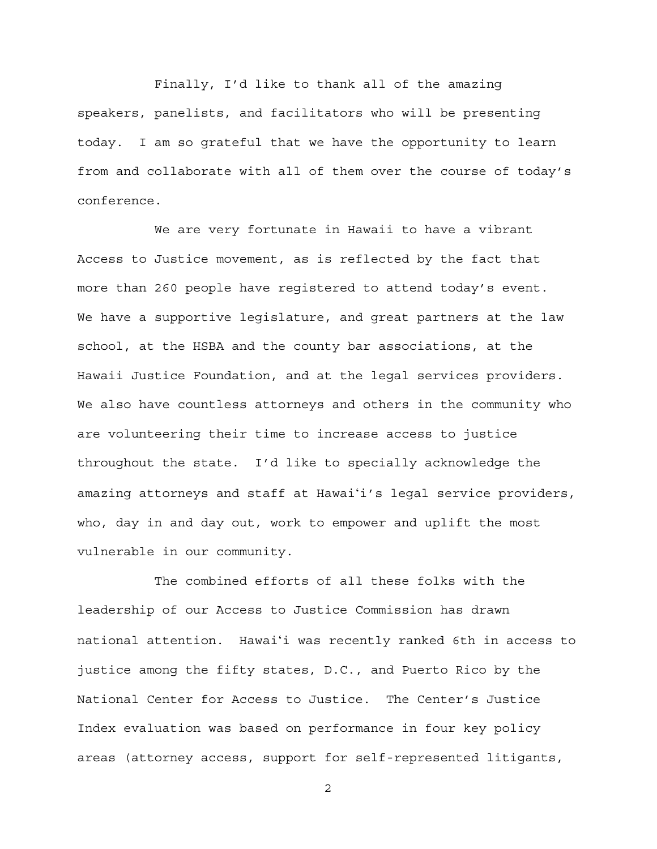Finally, I'd like to thank all of the amazing speakers, panelists, and facilitators who will be presenting today. I am so grateful that we have the opportunity to learn from and collaborate with all of them over the course of today's conference.

 We are very fortunate in Hawaii to have a vibrant Access to Justice movement, as is reflected by the fact that more than 260 people have registered to attend today's event. We have a supportive legislature, and great partners at the law school, at the HSBA and the county bar associations, at the Hawaii Justice Foundation, and at the legal services providers. We also have countless attorneys and others in the community who are volunteering their time to increase access to justice throughout the state. I'd like to specially acknowledge the amazing attorneys and staff at Hawaiʻi's legal service providers, who, day in and day out, work to empower and uplift the most vulnerable in our community.

 The combined efforts of all these folks with the leadership of our Access to Justice Commission has drawn national attention. Hawaiʻi was recently ranked 6th in access to justice among the fifty states, D.C., and Puerto Rico by the National Center for Access to Justice. The Center's Justice Index evaluation was based on performance in four key policy areas (attorney access, support for self-represented litigants,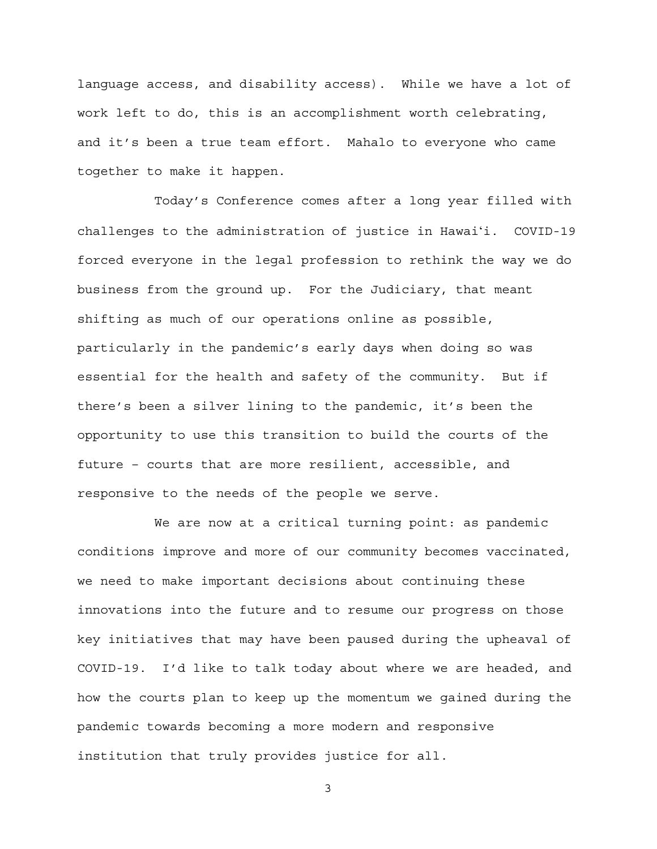language access, and disability access). While we have a lot of work left to do, this is an accomplishment worth celebrating, and it's been a true team effort. Mahalo to everyone who came together to make it happen.

 Today's Conference comes after a long year filled with challenges to the administration of justice in Hawaiʻi. COVID-19 forced everyone in the legal profession to rethink the way we do business from the ground up. For the Judiciary, that meant shifting as much of our operations online as possible, particularly in the pandemic's early days when doing so was essential for the health and safety of the community. But if there's been a silver lining to the pandemic, it's been the opportunity to use this transition to build the courts of the future – courts that are more resilient, accessible, and responsive to the needs of the people we serve.

 We are now at a critical turning point: as pandemic conditions improve and more of our community becomes vaccinated, we need to make important decisions about continuing these innovations into the future and to resume our progress on those key initiatives that may have been paused during the upheaval of COVID-19. I'd like to talk today about where we are headed, and how the courts plan to keep up the momentum we gained during the pandemic towards becoming a more modern and responsive institution that truly provides justice for all.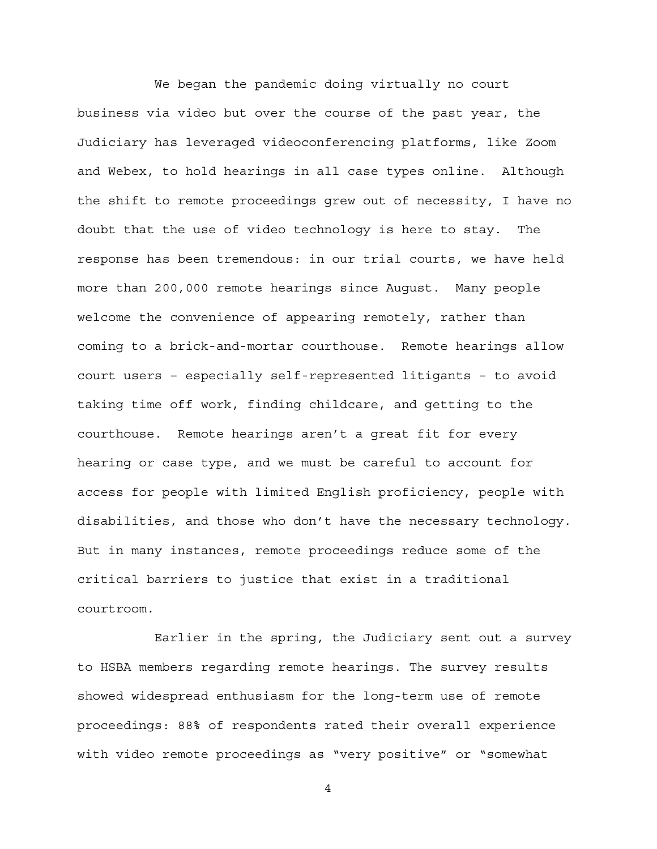We began the pandemic doing virtually no court business via video but over the course of the past year, the Judiciary has leveraged videoconferencing platforms, like Zoom and Webex, to hold hearings in all case types online. Although the shift to remote proceedings grew out of necessity, I have no doubt that the use of video technology is here to stay. The response has been tremendous: in our trial courts, we have held more than 200,000 remote hearings since August. Many people welcome the convenience of appearing remotely, rather than coming to a brick-and-mortar courthouse. Remote hearings allow court users – especially self-represented litigants – to avoid taking time off work, finding childcare, and getting to the courthouse. Remote hearings aren't a great fit for every hearing or case type, and we must be careful to account for access for people with limited English proficiency, people with disabilities, and those who don't have the necessary technology. But in many instances, remote proceedings reduce some of the critical barriers to justice that exist in a traditional courtroom.

 Earlier in the spring, the Judiciary sent out a survey to HSBA members regarding remote hearings. The survey results showed widespread enthusiasm for the long-term use of remote proceedings: 88% of respondents rated their overall experience with video remote proceedings as "very positive" or "somewhat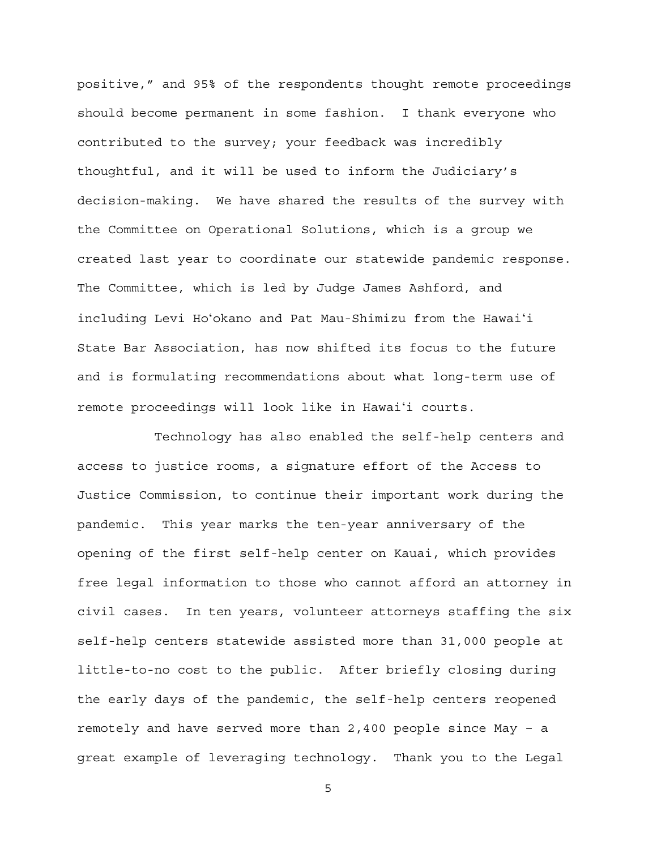positive," and 95% of the respondents thought remote proceedings should become permanent in some fashion. I thank everyone who contributed to the survey; your feedback was incredibly thoughtful, and it will be used to inform the Judiciary's decision-making. We have shared the results of the survey with the Committee on Operational Solutions, which is a group we created last year to coordinate our statewide pandemic response. The Committee, which is led by Judge James Ashford, and including Levi Hoʻokano and Pat Mau-Shimizu from the Hawaiʻi State Bar Association, has now shifted its focus to the future and is formulating recommendations about what long-term use of remote proceedings will look like in Hawaiʻi courts.

 Technology has also enabled the self-help centers and access to justice rooms, a signature effort of the Access to Justice Commission, to continue their important work during the pandemic. This year marks the ten-year anniversary of the opening of the first self-help center on Kauai, which provides free legal information to those who cannot afford an attorney in civil cases. In ten years, volunteer attorneys staffing the six self-help centers statewide assisted more than 31,000 people at little-to-no cost to the public. After briefly closing during the early days of the pandemic, the self-help centers reopened remotely and have served more than 2,400 people since May – a great example of leveraging technology. Thank you to the Legal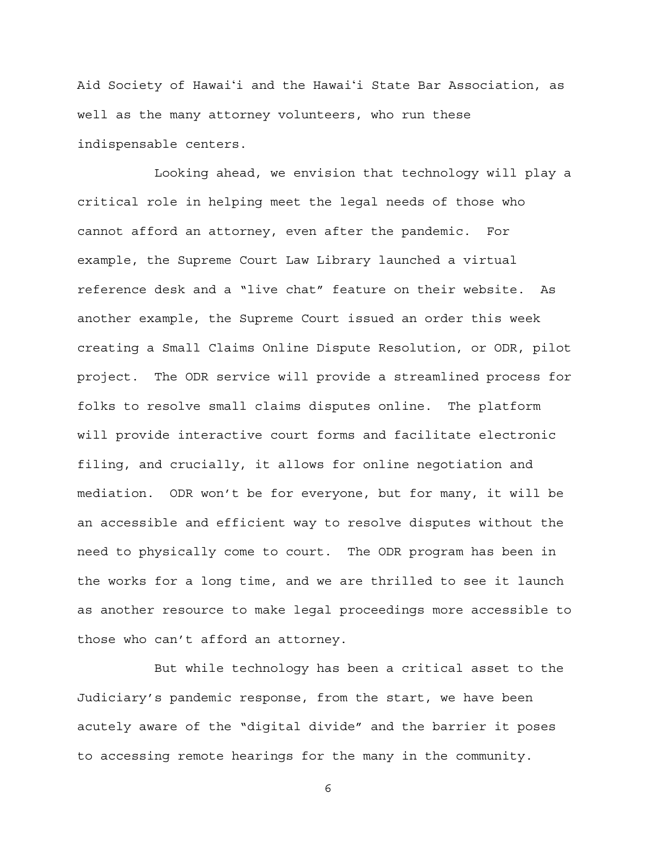Aid Society of Hawaiʻi and the Hawaiʻi State Bar Association, as well as the many attorney volunteers, who run these indispensable centers.

 Looking ahead, we envision that technology will play a critical role in helping meet the legal needs of those who cannot afford an attorney, even after the pandemic. For example, the Supreme Court Law Library launched a virtual reference desk and a "live chat" feature on their website. As another example, the Supreme Court issued an order this week creating a Small Claims Online Dispute Resolution, or ODR, pilot project. The ODR service will provide a streamlined process for folks to resolve small claims disputes online. The platform will provide interactive court forms and facilitate electronic filing, and crucially, it allows for online negotiation and mediation. ODR won't be for everyone, but for many, it will be an accessible and efficient way to resolve disputes without the need to physically come to court. The ODR program has been in the works for a long time, and we are thrilled to see it launch as another resource to make legal proceedings more accessible to those who can't afford an attorney.

 But while technology has been a critical asset to the Judiciary's pandemic response, from the start, we have been acutely aware of the "digital divide" and the barrier it poses to accessing remote hearings for the many in the community.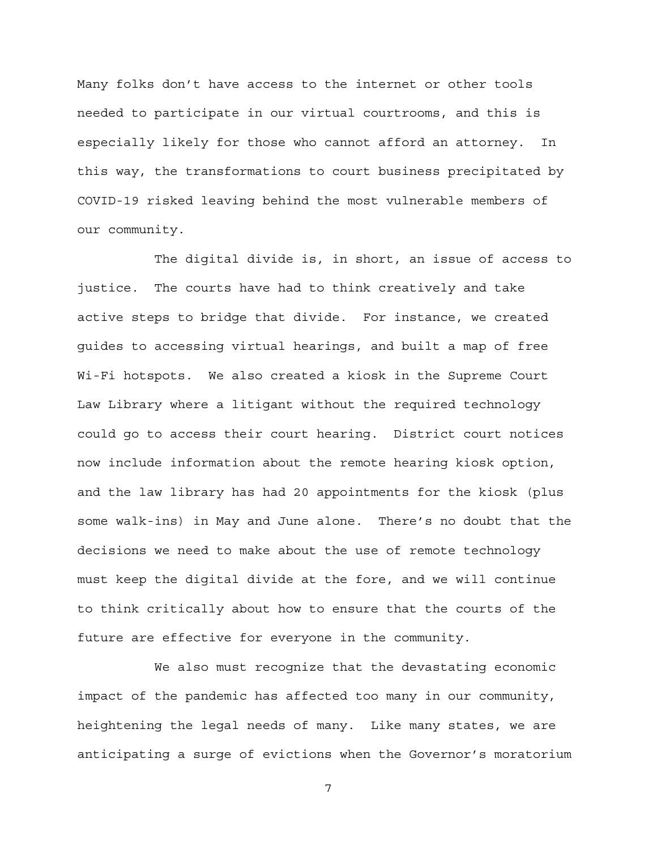Many folks don't have access to the internet or other tools needed to participate in our virtual courtrooms, and this is especially likely for those who cannot afford an attorney. In this way, the transformations to court business precipitated by COVID-19 risked leaving behind the most vulnerable members of our community.

 The digital divide is, in short, an issue of access to justice. The courts have had to think creatively and take active steps to bridge that divide. For instance, we created guides to accessing virtual hearings, and built a map of free Wi-Fi hotspots. We also created a kiosk in the Supreme Court Law Library where a litigant without the required technology could go to access their court hearing. District court notices now include information about the remote hearing kiosk option, and the law library has had 20 appointments for the kiosk (plus some walk-ins) in May and June alone. There's no doubt that the decisions we need to make about the use of remote technology must keep the digital divide at the fore, and we will continue to think critically about how to ensure that the courts of the future are effective for everyone in the community.

 We also must recognize that the devastating economic impact of the pandemic has affected too many in our community, heightening the legal needs of many. Like many states, we are anticipating a surge of evictions when the Governor's moratorium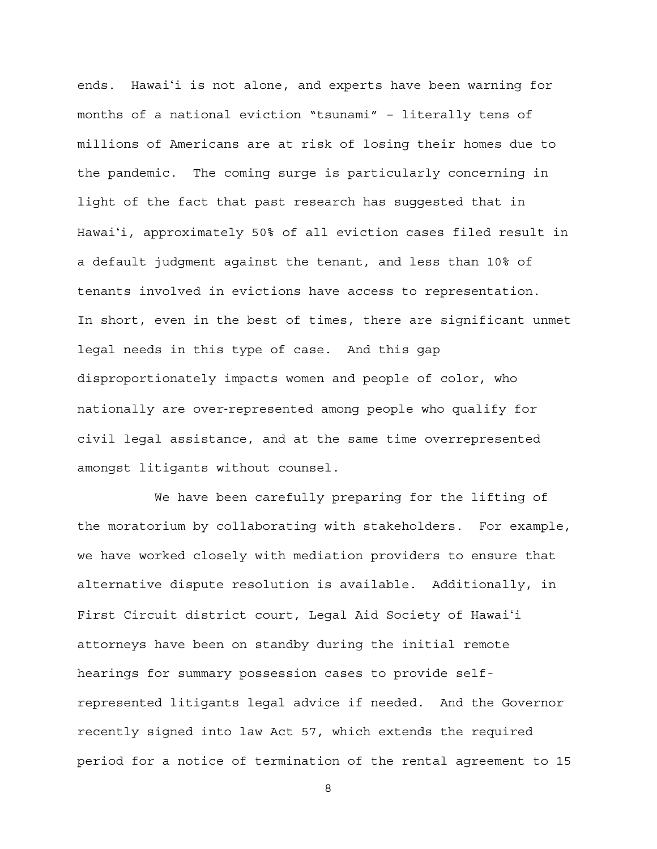ends. Hawaiʻi is not alone, and experts have been warning for months of a national eviction "tsunami" – literally tens of millions of Americans are at risk of losing their homes due to the pandemic. The coming surge is particularly concerning in light of the fact that past research has suggested that in Hawaiʻi, approximately 50% of all eviction cases filed result in a default judgment against the tenant, and less than 10% of tenants involved in evictions have access to representation. In short, even in the best of times, there are significant unmet legal needs in this type of case. And this gap disproportionately impacts women and people of color, who nationally are over‐represented among people who qualify for civil legal assistance, and at the same time overrepresented amongst litigants without counsel.

 We have been carefully preparing for the lifting of the moratorium by collaborating with stakeholders. For example, we have worked closely with mediation providers to ensure that alternative dispute resolution is available. Additionally, in First Circuit district court, Legal Aid Society of Hawaiʻi attorneys have been on standby during the initial remote hearings for summary possession cases to provide selfrepresented litigants legal advice if needed. And the Governor recently signed into law Act 57, which extends the required period for a notice of termination of the rental agreement to 15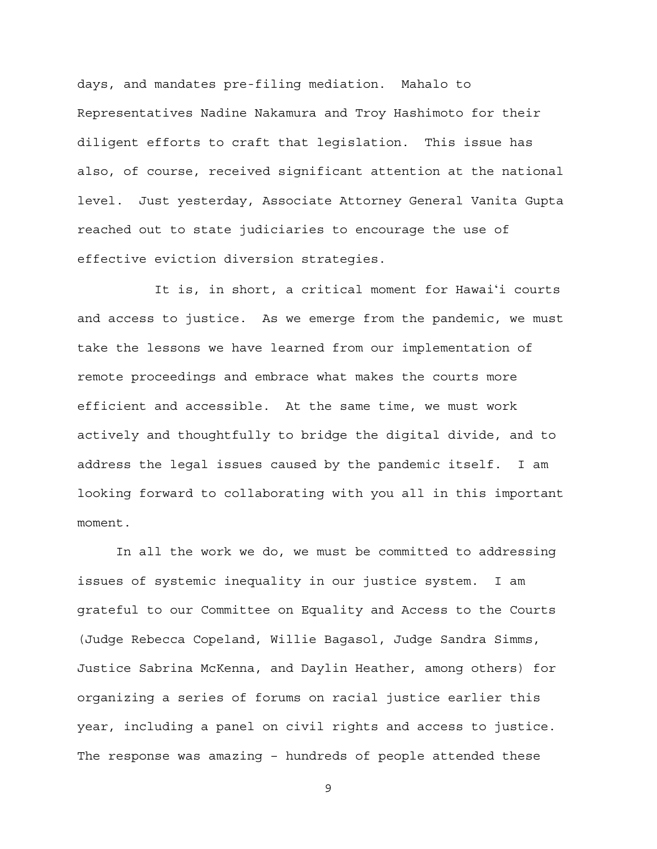days, and mandates pre-filing mediation. Mahalo to Representatives Nadine Nakamura and Troy Hashimoto for their diligent efforts to craft that legislation. This issue has also, of course, received significant attention at the national level. Just yesterday, Associate Attorney General Vanita Gupta reached out to state judiciaries to encourage the use of effective eviction diversion strategies.

 It is, in short, a critical moment for Hawaiʻi courts and access to justice. As we emerge from the pandemic, we must take the lessons we have learned from our implementation of remote proceedings and embrace what makes the courts more efficient and accessible. At the same time, we must work actively and thoughtfully to bridge the digital divide, and to address the legal issues caused by the pandemic itself. I am looking forward to collaborating with you all in this important moment.

In all the work we do, we must be committed to addressing issues of systemic inequality in our justice system. I am grateful to our Committee on Equality and Access to the Courts (Judge Rebecca Copeland, Willie Bagasol, Judge Sandra Simms, Justice Sabrina McKenna, and Daylin Heather, among others) for organizing a series of forums on racial justice earlier this year, including a panel on civil rights and access to justice. The response was amazing – hundreds of people attended these